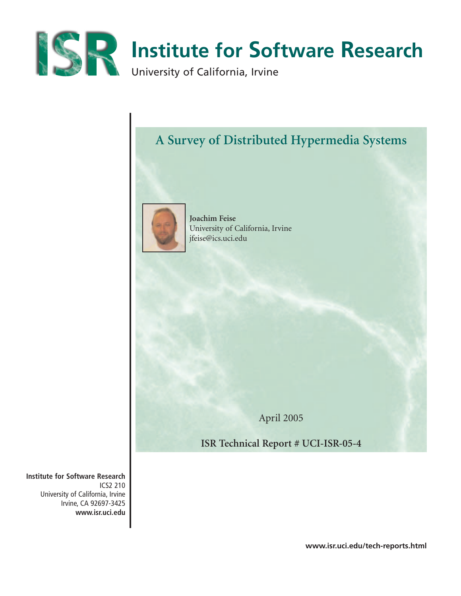

# **A Survey of Distributed Hypermedia Systems**



**Joachim Feise** University of California, Irvine jfeise@ics.uci.edu

April 2005

**ISR Technical Report # UCI-ISR-05-4**

**Institute for Software Research** ICS2 210 University of California, Irvine Irvine, CA 92697-3425 **www.isr.uci.edu**

**www.isr.uci.edu/tech-reports.html**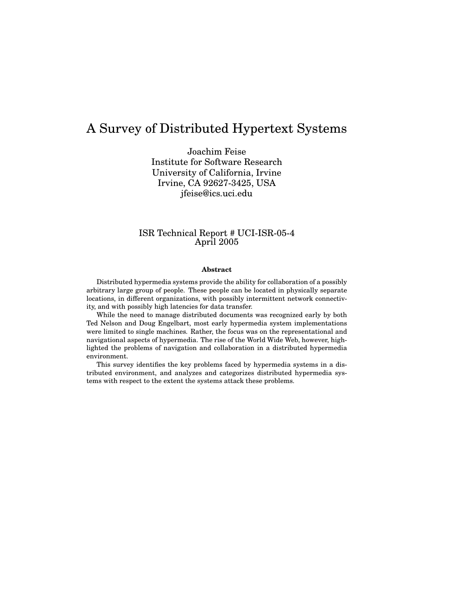## A Survey of Distributed Hypertext Systems

Joachim Feise Institute for Software Research University of California, Irvine Irvine, CA 92627-3425, USA jfeise@ics.uci.edu

### ISR Technical Report # UCI-ISR-05-4 April 2005

#### **Abstract**

Distributed hypermedia systems provide the ability for collaboration of a possibly arbitrary large group of people. These people can be located in physically separate locations, in different organizations, with possibly intermittent network connectivity, and with possibly high latencies for data transfer.

While the need to manage distributed documents was recognized early by both Ted Nelson and Doug Engelbart, most early hypermedia system implementations were limited to single machines. Rather, the focus was on the representational and navigational aspects of hypermedia. The rise of the World Wide Web, however, highlighted the problems of navigation and collaboration in a distributed hypermedia environment.

This survey identifies the key problems faced by hypermedia systems in a distributed environment, and analyzes and categorizes distributed hypermedia systems with respect to the extent the systems attack these problems.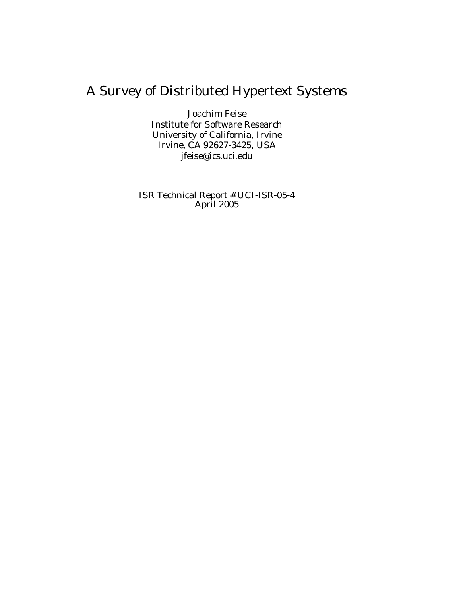# A Survey of Distributed Hypertext Systems

Joachim Feise Institute for Software Research University of California, Irvine Irvine, CA 92627-3425, USA jfeise@ics.uci.edu

ISR Technical Report # UCI-ISR-05-4 April 2005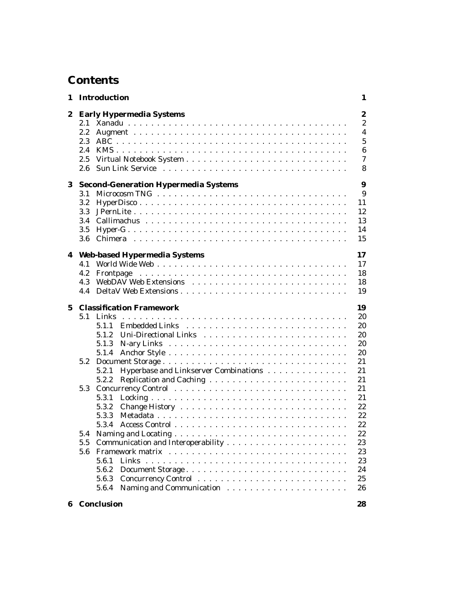## **Contents**

|             |                                        | 1 Introduction                                                                                                                          | 1                                                                                 |
|-------------|----------------------------------------|-----------------------------------------------------------------------------------------------------------------------------------------|-----------------------------------------------------------------------------------|
| 2           | $2.2\,$<br>2.3<br>2.4<br>2.5           | <b>Early Hypermedia Systems</b>                                                                                                         | $\boldsymbol{2}$<br>$\overline{c}$<br>$\overline{\mathbf{4}}$<br>5<br>6<br>7<br>8 |
| 3           | 3.1<br>3.2<br>3.3<br>3.4<br>3.5<br>3.6 | <b>Second-Generation Hypermedia Systems</b>                                                                                             | $\boldsymbol{9}$<br>9<br>11<br>12<br>13<br>14<br>15                               |
|             | 4.1<br>4.2<br>4.3<br>4.4               | 4 Web-based Hypermedia Systems                                                                                                          | 17<br>17<br>18<br>18<br>19                                                        |
| $\mathbf 5$ | 5.1<br>5.2                             | <b>Classification Framework</b><br>Links<br>5.1.1<br>5.1.2<br>5.1.3<br>5.1.4<br>Hyperbase and Linkserver Combinations<br>5.2.1<br>5.2.2 | 19<br>20<br>20<br>20<br>20<br>20<br>21<br>21<br>21                                |
|             | 5.3<br>5.4                             | 5.3.1<br>5.3.2<br>5.3.3<br>5.3.4                                                                                                        | 21<br>21<br>22<br>22<br>22<br>22                                                  |
|             | 5.5<br>5.6                             | 5.6.1<br>5.6.2<br>5.6.3<br>5.6.4                                                                                                        | 23<br>23<br>23<br>24<br>25<br>26                                                  |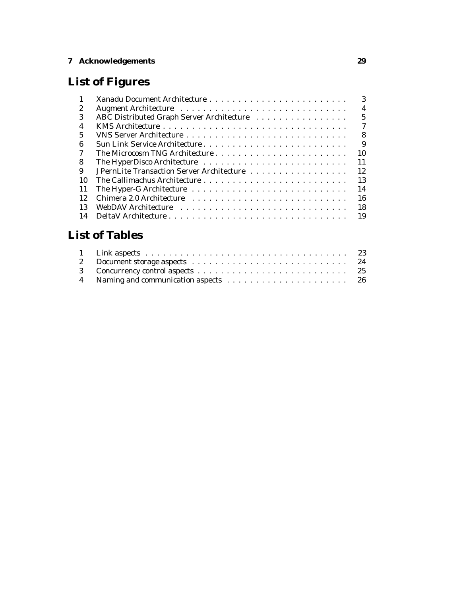### **7 Acknowledgements 29**

# **List of Figures**

| $\mathbf{1}$ | 3                                                            |
|--------------|--------------------------------------------------------------|
| 2            | $\overline{4}$                                               |
| 3            | $5\phantom{.0}$<br>ABC Distributed Graph Server Architecture |
| 4            | $\tau$                                                       |
| 5            | 8                                                            |
| 6            | 9                                                            |
| 7            | 10                                                           |
| 8            | 11                                                           |
| 9            | 12<br>JPernLite Transaction Server Architecture              |
| 10           | 13                                                           |
| <b>11</b>    | 14                                                           |
| 12           | 16                                                           |
| 13           | 18                                                           |
| 14           |                                                              |

# **List of Tables**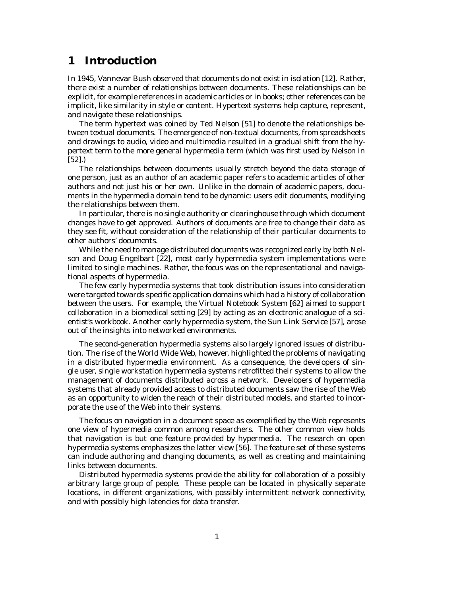### **1 Introduction**

In 1945, Vannevar Bush observed that documents do not exist in isolation [12]. Rather, there exist a number of relationships between documents. These relationships can be explicit, for example references in academic articles or in books; other references can be implicit, like similarity in style or content. Hypertext systems help capture, represent, and navigate these relationships.

The term *hypertext* was coined by Ted Nelson [51] to denote the relationships between textual documents. The emergence of non-textual documents, from spreadsheets and drawings to audio, video and multimedia resulted in a gradual shift from the hypertext term to the more general *hypermedia* term (which was first used by Nelson in [52].)

The relationships between documents usually stretch beyond the data storage of one person, just as an author of an academic paper refers to academic articles of other authors and not just his or her own. Unlike in the domain of academic papers, documents in the hypermedia domain tend to be dynamic: users edit documents, modifying the relationships between them.

In particular, there is no single authority or clearinghouse through which document changes have to get approved. Authors of documents are free to change their data as they see fit, without consideration of the relationship of their particular documents to other authors' documents.

While the need to manage distributed documents was recognized early by both Nelson and Doug Engelbart [22], most early hypermedia system implementations were limited to single machines. Rather, the focus was on the representational and navigational aspects of hypermedia.

The few early hypermedia systems that took distribution issues into consideration were targeted towards specific application domains which had a history of collaboration between the users. For example, the Virtual Notebook System [62] aimed to support collaboration in a biomedical setting [29] by acting as an electronic analogue of a scientist's workbook. Another early hypermedia system, the Sun Link Service [57], arose out of the insights into networked environments.

The second-generation hypermedia systems also largely ignored issues of distribution. The rise of the World Wide Web, however, highlighted the problems of navigating in a distributed hypermedia environment. As a consequence, the developers of single user, single workstation hypermedia systems retrofitted their systems to allow the management of documents distributed across a network. Developers of hypermedia systems that already provided access to distributed documents saw the rise of the Web as an opportunity to widen the reach of their distributed models, and started to incorporate the use of the Web into their systems.

The focus on navigation in a document space as exemplified by the Web represents one view of hypermedia common among researchers. The other common view holds that navigation is but one feature provided by hypermedia. The research on open hypermedia systems emphasizes the latter view [56]. The feature set of these systems can include authoring and changing documents, as well as creating and maintaining links between documents.

Distributed hypermedia systems provide the ability for collaboration of a possibly arbitrary large group of people. These people can be located in physically separate locations, in different organizations, with possibly intermittent network connectivity, and with possibly high latencies for data transfer.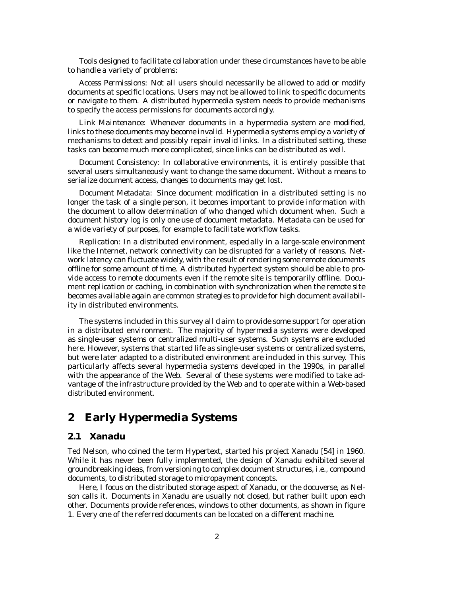Tools designed to facilitate collaboration under these circumstances have to be able to handle a variety of problems:

*Access Permissions:* Not all users should necessarily be allowed to add or modify documents at specific locations. Users may not be allowed to link to specific documents or navigate to them. A distributed hypermedia system needs to provide mechanisms to specify the access permissions for documents accordingly.

*Link Maintenance:* Whenever documents in a hypermedia system are modified, links to these documents may become invalid. Hypermedia systems employ a variety of mechanisms to detect and possibly repair invalid links. In a distributed setting, these tasks can become much more complicated, since links can be distributed as well.

*Document Consistency:* In collaborative environments, it is entirely possible that several users simultaneously want to change the same document. Without a means to serialize document access, changes to documents may get lost.

*Document Metadata:* Since document modification in a distributed setting is no longer the task of a single person, it becomes important to provide information with the document to allow determination of who changed which document when. Such a document history log is only one use of document metadata. Metadata can be used for a wide variety of purposes, for example to facilitate workflow tasks.

*Replication:* In a distributed environment, especially in a large-scale environment like the Internet, network connectivity can be disrupted for a variety of reasons. Network latency can fluctuate widely, with the result of rendering some remote documents offline for some amount of time. A distributed hypertext system should be able to provide access to remote documents even if the remote site is temporarily offline. Document replication or caching, in combination with synchronization when the remote site becomes available again are common strategies to provide for high document availability in distributed environments.

The systems included in this survey all claim to provide some support for operation in a distributed environment. The majority of hypermedia systems were developed as single-user systems or centralized multi-user systems. Such systems are excluded here. However, systems that started life as single-user systems or centralized systems, but were later adapted to a distributed environment are included in this survey. This particularly affects several hypermedia systems developed in the 1990s, in parallel with the appearance of the Web. Several of these systems were modified to take advantage of the infrastructure provided by the Web and to operate within a Web-based distributed environment.

### **2 Early Hypermedia Systems**

### **2.1 Xanadu**

Ted Nelson, who coined the term Hypertext, started his project Xanadu [54] in 1960. While it has never been fully implemented, the design of Xanadu exhibited several groundbreaking ideas, from versioning to complex document structures, i.e., compound documents, to distributed storage to micropayment concepts.

Here, I focus on the distributed storage aspect of Xanadu, or the *docuverse*, as Nelson calls it. Documents in Xanadu are usually not closed, but rather built upon each other. Documents provide references, windows to other documents, as shown in figure 1. Every one of the referred documents can be located on a different machine.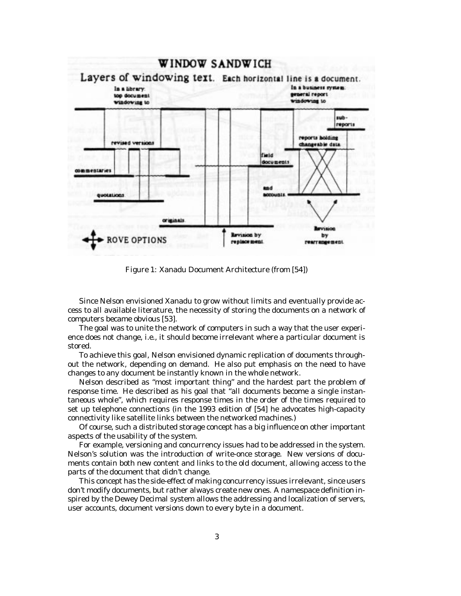

Figure 1: Xanadu Document Architecture (from [54])

Since Nelson envisioned Xanadu to grow without limits and eventually provide access to all available literature, the necessity of storing the documents on a network of computers became obvious [53].

The goal was to unite the network of computers in such a way that the user experience does not change, i.e., it should become irrelevant where a particular document is stored.

To achieve this goal, Nelson envisioned dynamic replication of documents throughout the network, depending on demand. He also put emphasis on the need to have changes to any document be instantly known in the whole network.

Nelson described as "most important thing" and the hardest part the problem of response time. He described as his goal that "all documents become a single instantaneous whole", which requires response times in the order of the times required to set up telephone connections (in the 1993 edition of [54] he advocates high-capacity connectivity like satellite links between the networked machines.)

Of course, such a distributed storage concept has a big influence on other important aspects of the usability of the system.

For example, versioning and concurrency issues had to be addressed in the system. Nelson's solution was the introduction of write-once storage. New versions of documents contain both new content and links to the old document, allowing access to the parts of the document that didn't change.

This concept has the side-effect of making concurrency issues irrelevant, since users don't modify documents, but rather always create new ones. A namespace definition inspired by the Dewey Decimal system allows the addressing and localization of servers, user accounts, document versions down to every byte in a document.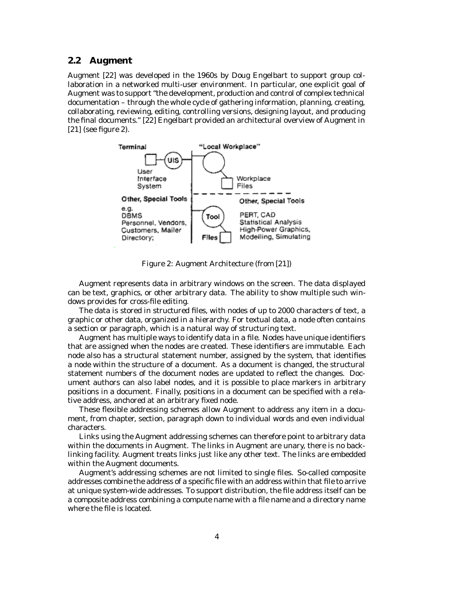### **2.2 Augment**

Augment [22] was developed in the 1960s by Doug Engelbart to support group collaboration in a networked multi-user environment. In particular, one explicit goal of Augment was to support "the development, production and control of complex technical documentation – through the whole cycle of gathering information, planning, creating, collaborating, reviewing, editing, controlling versions, designing layout, and producing the final documents." [22] Engelbart provided an architectural overview of Augment in [21] (see figure 2).



Figure 2: Augment Architecture (from [21])

Augment represents data in arbitrary windows on the screen. The data displayed can be text, graphics, or other arbitrary data. The ability to show multiple such windows provides for cross-file editing.

The data is stored in structured files, with nodes of up to 2000 characters of text, a graphic or other data, organized in a hierarchy. For textual data, a node often contains a section or paragraph, which is a natural way of structuring text.

Augment has multiple ways to identify data in a file. Nodes have unique identifiers that are assigned when the nodes are created. These identifiers are immutable. Each node also has a structural statement number, assigned by the system, that identifies a node within the structure of a document. As a document is changed, the structural statement numbers of the document nodes are updated to reflect the changes. Document authors can also label nodes, and it is possible to place markers in arbitrary positions in a document. Finally, positions in a document can be specified with a relative address, anchored at an arbitrary fixed node.

These flexible addressing schemes allow Augment to address any item in a document, from chapter, section, paragraph down to individual words and even individual characters.

Links using the Augment addressing schemes can therefore point to arbitrary data within the documents in Augment. The links in Augment are unary, there is no backlinking facility. Augment treats links just like any other text. The links are embedded within the Augment documents.

Augment's addressing schemes are not limited to single files. So-called composite addresses combine the address of a specific file with an address within that file to arrive at unique system-wide addresses. To support distribution, the file address itself can be a composite address combining a compute name with a file name and a directory name where the file is located.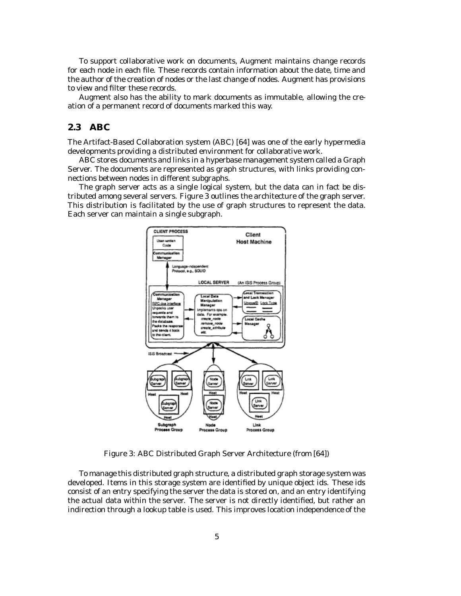To support collaborative work on documents, Augment maintains change records for each node in each file. These records contain information about the date, time and the author of the creation of nodes or the last change of nodes. Augment has provisions to view and filter these records.

Augment also has the ability to mark documents as immutable, allowing the creation of a permanent record of documents marked this way.

### **2.3 ABC**

The Artifact-Based Collaboration system (ABC) [64] was one of the early hypermedia developments providing a distributed environment for collaborative work.

ABC stores documents and links in a hyperbase management system called a Graph Server. The documents are represented as graph structures, with links providing connections between nodes in different subgraphs.

The graph server acts as a single logical system, but the data can in fact be distributed among several servers. Figure 3 outlines the architecture of the graph server. This distribution is facilitated by the use of graph structures to represent the data. Each server can maintain a single subgraph.



Figure 3: ABC Distributed Graph Server Architecture (from [64])

To manage this distributed graph structure, a distributed graph storage system was developed. Items in this storage system are identified by unique object ids. These ids consist of an entry specifying the server the data is stored on, and an entry identifying the actual data within the server. The server is not directly identified, but rather an indirection through a lookup table is used. This improves location independence of the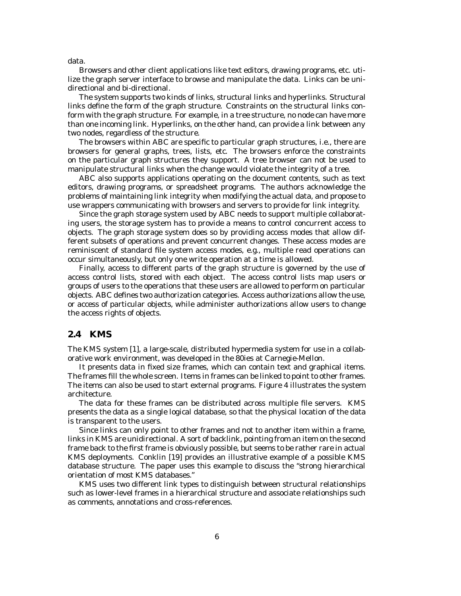data.

Browsers and other client applications like text editors, drawing programs, etc. utilize the graph server interface to browse and manipulate the data. Links can be unidirectional and bi-directional.

The system supports two kinds of links, structural links and hyperlinks. Structural links define the form of the graph structure. Constraints on the structural links conform with the graph structure. For example, in a tree structure, no node can have more than one incoming link. Hyperlinks, on the other hand, can provide a link between any two nodes, regardless of the structure.

The browsers within ABC are specific to particular graph structures, i.e., there are browsers for general graphs, trees, lists, etc. The browsers enforce the constraints on the particular graph structures they support. A tree browser can not be used to manipulate structural links when the change would violate the integrity of a tree.

ABC also supports applications operating on the document contents, such as text editors, drawing programs, or spreadsheet programs. The authors acknowledge the problems of maintaining link integrity when modifying the actual data, and propose to use wrappers communicating with browsers and servers to provide for link integrity.

Since the graph storage system used by ABC needs to support multiple collaborating users, the storage system has to provide a means to control concurrent access to objects. The graph storage system does so by providing access modes that allow different subsets of operations and prevent concurrent changes. These access modes are reminiscent of standard file system access modes, e.g., multiple read operations can occur simultaneously, but only one write operation at a time is allowed.

Finally, access to different parts of the graph structure is governed by the use of access control lists, stored with each object. The access control lists map users or groups of users to the operations that these users are allowed to perform on particular objects. ABC defines two authorization categories. Access authorizations allow the use, or access of particular objects, while administer authorizations allow users to change the access rights of objects.

### **2.4 KMS**

The KMS system [1], a large-scale, distributed hypermedia system for use in a collaborative work environment, was developed in the 80ies at Carnegie-Mellon.

It presents data in fixed size frames, which can contain text and graphical items. The frames fill the whole screen. Items in frames can be linked to point to other frames. The items can also be used to start external programs. Figure 4 illustrates the system architecture.

The data for these frames can be distributed across multiple file servers. KMS presents the data as a single logical database, so that the physical location of the data is transparent to the users.

Since links can only point to other frames and not to another item within a frame, links in KMS are unidirectional. A sort of backlink, pointing from an item on the second frame back to the first frame is obviously possible, but seems to be rather rare in actual KMS deployments. Conklin [19] provides an illustrative example of a possible KMS database structure. The paper uses this example to discuss the "strong hierarchical orientation of most KMS databases."

KMS uses two different link types to distinguish between structural relationships such as lower-level frames in a hierarchical structure and associate relationships such as comments, annotations and cross-references.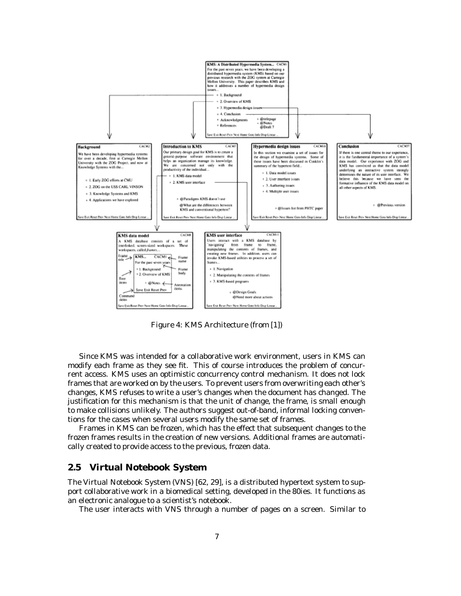

Figure 4: KMS Architecture (from [1])

Since KMS was intended for a collaborative work environment, users in KMS can modify each frame as they see fit. This of course introduces the problem of concurrent access. KMS uses an optimistic concurrency control mechanism. It does not lock frames that are worked on by the users. To prevent users from overwriting each other's changes, KMS refuses to write a user's changes when the document has changed. The justification for this mechanism is that the unit of change, the frame, is small enough to make collisions unlikely. The authors suggest out-of-band, informal locking conventions for the cases when several users modify the same set of frames.

Frames in KMS can be frozen, which has the effect that subsequent changes to the frozen frames results in the creation of new versions. Additional frames are automatically created to provide access to the previous, frozen data.

### **2.5 Virtual Notebook System**

The Virtual Notebook System (VNS) [62, 29], is a distributed hypertext system to support collaborative work in a biomedical setting, developed in the 80ies. It functions as an electronic analogue to a scientist's notebook.

The user interacts with VNS through a number of pages on a screen. Similar to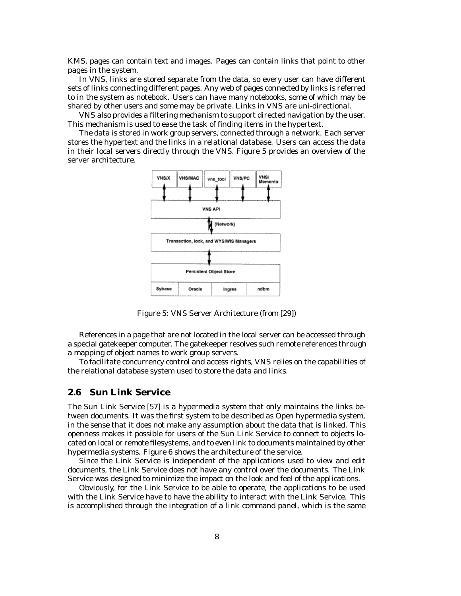KMS, pages can contain text and images. Pages can contain links that point to other pages in the system.

In VNS, links are stored separate from the data, so every user can have different sets of links connecting different pages. Any web of pages connected by links is referred to in the system as notebook. Users can have many notebooks, some of which may be shared by other users and some may be private. Links in VNS are uni-directional.

VNS also provides a filtering mechanism to support directed navigation by the user. This mechanism is used to ease the task of finding items in the hypertext.

The data is stored in work group servers, connected through a network. Each server stores the hypertext and the links in a relational database. Users can access the data in their local servers directly through the VNS. Figure 5 provides an overview of the server architecture.



Figure 5: VNS Server Architecture (from [29])

References in a page that are not located in the local server can be accessed through a special gatekeeper computer. The gatekeeper resolves such remote references through a mapping of object names to work group servers.

To facilitate concurrency control and access rights, VNS relies on the capabilities of the relational database system used to store the data and links.

### **2.6 Sun Link Service**

The Sun Link Service [57] is a hypermedia system that only maintains the links between documents. It was the first system to be described as *Open* hypermedia system, in the sense that it does not make any assumption about the data that is linked. This openness makes it possible for users of the Sun Link Service to connect to objects located on local or remote filesystems, and to even link to documents maintained by other hypermedia systems. Figure 6 shows the architecture of the service.

Since the Link Service is independent of the applications used to view and edit documents, the Link Service does not have any control over the documents. The Link Service was designed to minimize the impact on the look and feel of the applications.

Obviously, for the Link Service to be able to operate, the applications to be used with the Link Service have to have the ability to interact with the Link Service. This is accomplished through the integration of a link command panel, which is the same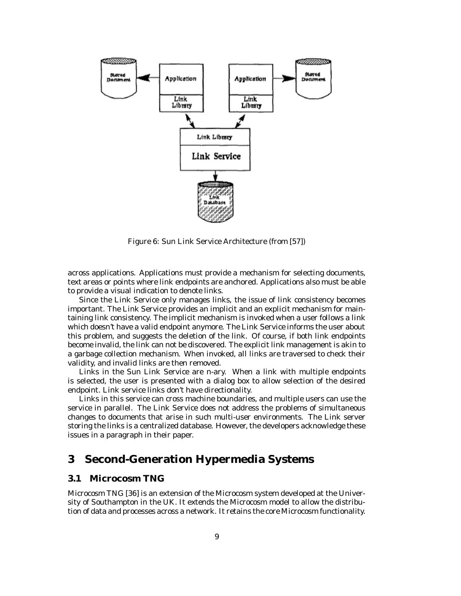

Figure 6: Sun Link Service Architecture (from [57])

across applications. Applications must provide a mechanism for selecting documents, text areas or points where link endpoints are anchored. Applications also must be able to provide a visual indication to denote links.

Since the Link Service only manages links, the issue of link consistency becomes important. The Link Service provides an implicit and an explicit mechanism for maintaining link consistency. The implicit mechanism is invoked when a user follows a link which doesn't have a valid endpoint anymore. The Link Service informs the user about this problem, and suggests the deletion of the link. Of course, if both link endpoints become invalid, the link can not be discovered. The explicit link management is akin to a garbage collection mechanism. When invoked, all links are traversed to check their validity, and invalid links are then removed.

Links in the Sun Link Service are n-ary. When a link with multiple endpoints is selected, the user is presented with a dialog box to allow selection of the desired endpoint. Link service links don't have directionality.

Links in this service can cross machine boundaries, and multiple users can use the service in parallel. The Link Service does not address the problems of simultaneous changes to documents that arise in such multi-user environments. The Link server storing the links is a centralized database. However, the developers acknowledge these issues in a paragraph in their paper.

### **3 Second-Generation Hypermedia Systems**

#### **3.1 Microcosm TNG**

Microcosm TNG [36] is an extension of the Microcosm system developed at the University of Southampton in the UK. It extends the Microcosm model to allow the distribution of data and processes across a network. It retains the core Microcosm functionality.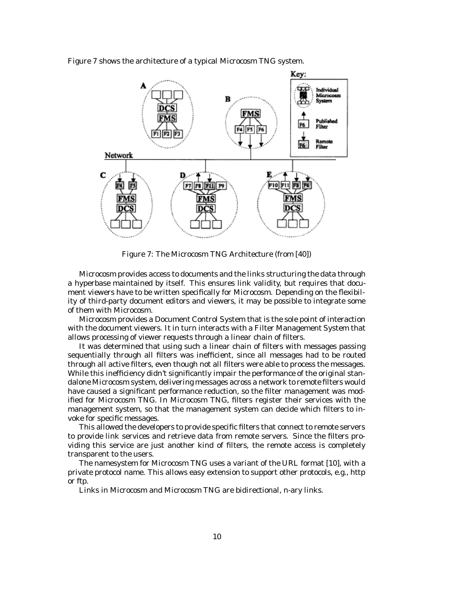Figure 7 shows the architecture of a typical Microcosm TNG system.



Figure 7: The Microcosm TNG Architecture (from [40])

Microcosm provides access to documents and the links structuring the data through a hyperbase maintained by itself. This ensures link validity, but requires that document viewers have to be written specifically for Microcosm. Depending on the flexibility of third-party document editors and viewers, it may be possible to integrate some of them with Microcosm.

Microcosm provides a Document Control System that is the sole point of interaction with the document viewers. It in turn interacts with a Filter Management System that allows processing of viewer requests through a linear chain of filters.

It was determined that using such a linear chain of filters with messages passing sequentially through all filters was inefficient, since all messages had to be routed through all active filters, even though not all filters were able to process the messages. While this inefficiency didn't significantly impair the performance of the original standalone Microcosm system, delivering messages across a network to remote filters would have caused a significant performance reduction, so the filter management was modified for Microcosm TNG. In Microcosm TNG, filters register their services with the management system, so that the management system can decide which filters to invoke for specific messages.

This allowed the developers to provide specific filters that connect to remote servers to provide link services and retrieve data from remote servers. Since the filters providing this service are just another kind of filters, the remote access is completely transparent to the users.

The namesystem for Microcosm TNG uses a variant of the URL format [10], with a private protocol name. This allows easy extension to support other protocols, e.g., http or ftp.

Links in Microcosm and Microcosm TNG are bidirectional, n-ary links.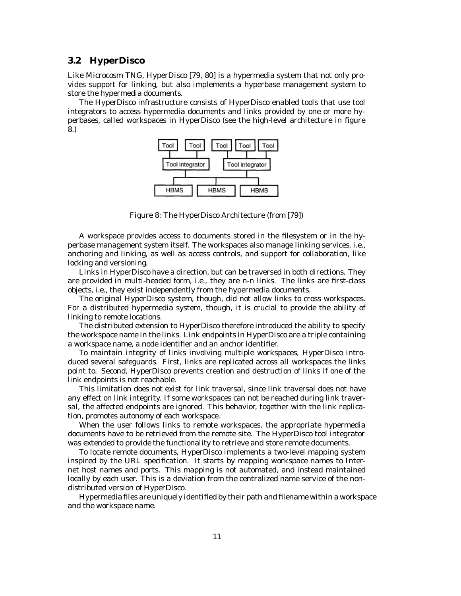### **3.2 HyperDisco**

Like Microcosm TNG, HyperDisco [79, 80] is a hypermedia system that not only provides support for linking, but also implements a hyperbase management system to store the hypermedia documents.

The HyperDisco infrastructure consists of HyperDisco enabled tools that use tool integrators to access hypermedia documents and links provided by one or more hyperbases, called workspaces in HyperDisco (see the high-level architecture in figure 8.)



Figure 8: The HyperDisco Architecture (from [79])

A workspace provides access to documents stored in the filesystem or in the hyperbase management system itself. The workspaces also manage linking services, i.e., anchoring and linking, as well as access controls, and support for collaboration, like locking and versioning.

Links in HyperDisco have a direction, but can be traversed in both directions. They are provided in multi-headed form, i.e., they are n-n links. The links are first-class objects, i.e., they exist independently from the hypermedia documents.

The original HyperDisco system, though, did not allow links to cross workspaces. For a distributed hypermedia system, though, it is crucial to provide the ability of linking to remote locations.

The distributed extension to HyperDisco therefore introduced the ability to specify the workspace name in the links. Link endpoints in HyperDisco are a triple containing a workspace name, a node identifier and an anchor identifier.

To maintain integrity of links involving multiple workspaces, HyperDisco introduced several safeguards. First, links are replicated across all workspaces the links point to. Second, HyperDisco prevents creation and destruction of links if one of the link endpoints is not reachable.

This limitation does not exist for link traversal, since link traversal does not have any effect on link integrity. If some workspaces can not be reached during link traversal, the affected endpoints are ignored. This behavior, together with the link replication, promotes autonomy of each workspace.

When the user follows links to remote workspaces, the appropriate hypermedia documents have to be retrieved from the remote site. The HyperDisco tool integrator was extended to provide the functionality to retrieve and store remote documents.

To locate remote documents, HyperDisco implements a two-level mapping system inspired by the URL specification. It starts by mapping workspace names to Internet host names and ports. This mapping is not automated, and instead maintained locally by each user. This is a deviation from the centralized name service of the nondistributed version of HyperDisco.

Hypermedia files are uniquely identified by their path and filename within a workspace and the workspace name.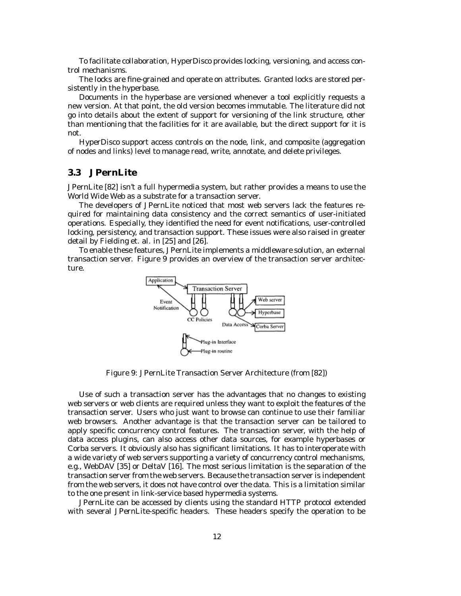To facilitate collaboration, HyperDisco provides locking, versioning, and access control mechanisms.

The locks are fine-grained and operate on attributes. Granted locks are stored persistently in the hyperbase.

Documents in the hyperbase are versioned whenever a tool explicitly requests a new version. At that point, the old version becomes immutable. The literature did not go into details about the extent of support for versioning of the link structure, other than mentioning that the facilities for it are available, but the direct support for it is not.

HyperDisco support access controls on the node, link, and composite (aggregation of nodes and links) level to manage read, write, annotate, and delete privileges.

### **3.3 JPernLite**

JPernLite [82] isn't a full hypermedia system, but rather provides a means to use the World Wide Web as a substrate for a transaction server.

The developers of JPernLite noticed that most web servers lack the features required for maintaining data consistency and the correct semantics of user-initiated operations. Especially, they identified the need for event notifications, user-controlled locking, persistency, and transaction support. These issues were also raised in greater detail by Fielding et. al. in [25] and [26].

To enable these features, JPernLite implements a middleware solution, an external transaction server. Figure 9 provides an overview of the transaction server architecture.



Figure 9: JPernLite Transaction Server Architecture (from [82])

Use of such a transaction server has the advantages that no changes to existing web servers or web clients are required unless they want to exploit the features of the transaction server. Users who just want to browse can continue to use their familiar web browsers. Another advantage is that the transaction server can be tailored to apply specific concurrency control features. The transaction server, with the help of data access plugins, can also access other data sources, for example hyperbases or Corba servers. It obviously also has significant limitations. It has to interoperate with a wide variety of web servers supporting a variety of concurrency control mechanisms, e.g., WebDAV [35] or DeltaV [16]. The most serious limitation is the separation of the transaction server from the web servers. Because the transaction server is independent from the web servers, it does not have control over the data. This is a limitation similar to the one present in link-service based hypermedia systems.

JPernLite can be accessed by clients using the standard HTTP protocol extended with several JPernLite-specific headers. These headers specify the operation to be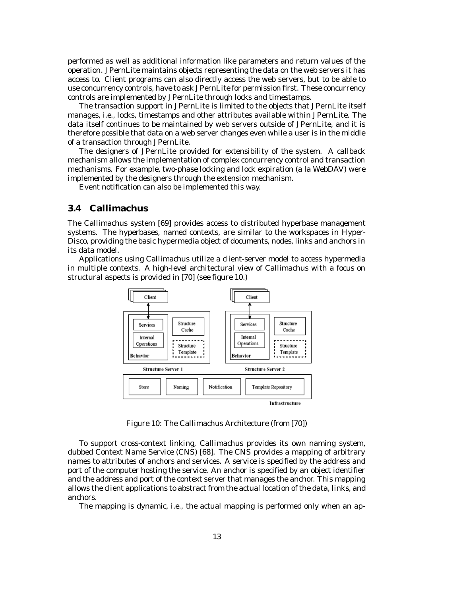performed as well as additional information like parameters and return values of the operation. JPernLite maintains objects representing the data on the web servers it has access to. Client programs can also directly access the web servers, but to be able to use concurrency controls, have to ask JPernLite for permission first. These concurrency controls are implemented by JPernLite through locks and timestamps.

The transaction support in JPernLite is limited to the objects that JPernLite itself manages, i.e., locks, timestamps and other attributes available within JPernLite. The data itself continues to be maintained by web servers outside of JPernLite, and it is therefore possible that data on a web server changes even while a user is in the middle of a transaction through JPernLite.

The designers of JPernLite provided for extensibility of the system. A callback mechanism allows the implementation of complex concurrency control and transaction mechanisms. For example, two-phase locking and lock expiration (a la WebDAV) were implemented by the designers through the extension mechanism.

Event notification can also be implemented this way.

### **3.4 Callimachus**

The Callimachus system [69] provides access to distributed hyperbase management systems. The hyperbases, named contexts, are similar to the workspaces in Hyper-Disco, providing the basic hypermedia object of documents, nodes, links and anchors in its data model.

Applications using Callimachus utilize a client-server model to access hypermedia in multiple contexts. A high-level architectural view of Callimachus with a focus on structural aspects is provided in [70] (see figure 10.)



Figure 10: The Callimachus Architecture (from [70])

To support cross-context linking, Callimachus provides its own naming system, dubbed Context Name Service (CNS) [68]. The CNS provides a mapping of arbitrary names to attributes of anchors and services. A service is specified by the address and port of the computer hosting the service. An anchor is specified by an object identifier and the address and port of the context server that manages the anchor. This mapping allows the client applications to abstract from the actual location of the data, links, and anchors.

The mapping is dynamic, i.e., the actual mapping is performed only when an ap-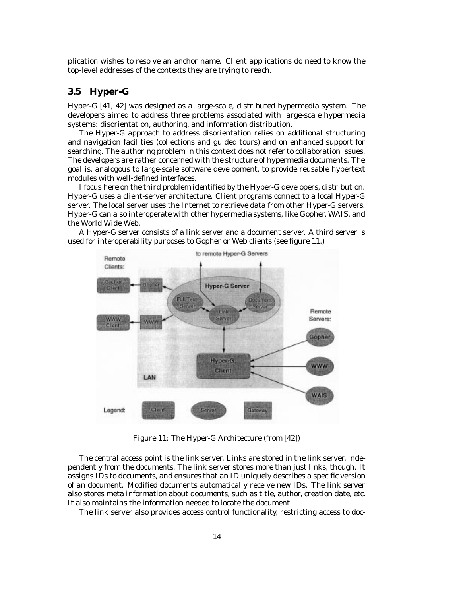plication wishes to resolve an anchor name. Client applications do need to know the top-level addresses of the contexts they are trying to reach.

### **3.5 Hyper-G**

Hyper-G [41, 42] was designed as a large-scale, distributed hypermedia system. The developers aimed to address three problems associated with large-scale hypermedia systems: disorientation, authoring, and information distribution.

The Hyper-G approach to address disorientation relies on additional structuring and navigation facilities (collections and guided tours) and on enhanced support for searching. The authoring problem in this context does not refer to collaboration issues. The developers are rather concerned with the structure of hypermedia documents. The goal is, analogous to large-scale software development, to provide reusable hypertext modules with well-defined interfaces.

I focus here on the third problem identified by the Hyper-G developers, distribution. Hyper-G uses a client-server architecture. Client programs connect to a local Hyper-G server. The local server uses the Internet to retrieve data from other Hyper-G servers. Hyper-G can also interoperate with other hypermedia systems, like Gopher, WAIS, and the World Wide Web.



A Hyper-G server consists of a link server and a document server. A third server is used for interoperability purposes to Gopher or Web clients (see figure 11.)

Figure 11: The Hyper-G Architecture (from [42])

The central access point is the link server. Links are stored in the link server, independently from the documents. The link server stores more than just links, though. It assigns IDs to documents, and ensures that an ID uniquely describes a specific version of an document. Modified documents automatically receive new IDs. The link server also stores meta information about documents, such as title, author, creation date, etc. It also maintains the information needed to locate the document.

The link server also provides access control functionality, restricting access to doc-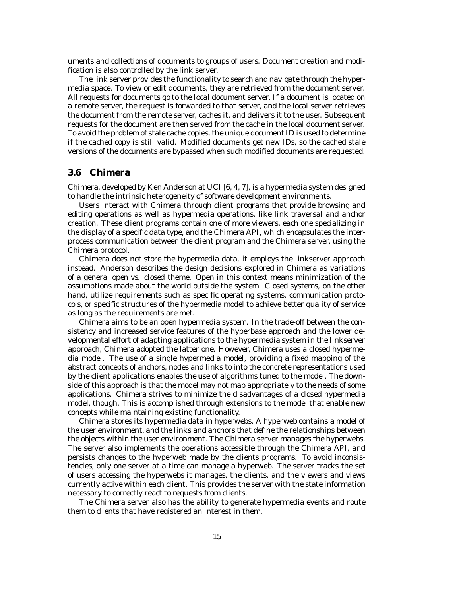uments and collections of documents to groups of users. Document creation and modification is also controlled by the link server.

The link server provides the functionality to search and navigate through the hypermedia space. To view or edit documents, they are retrieved from the document server. All requests for documents go to the local document server. If a document is located on a remote server, the request is forwarded to that server, and the local server retrieves the document from the remote server, caches it, and delivers it to the user. Subsequent requests for the document are then served from the cache in the local document server. To avoid the problem of stale cache copies, the unique document ID is used to determine if the cached copy is still valid. Modified documents get new IDs, so the cached stale versions of the documents are bypassed when such modified documents are requested.

### **3.6 Chimera**

Chimera, developed by Ken Anderson at UCI [6, 4, 7], is a hypermedia system designed to handle the intrinsic heterogeneity of software development environments.

Users interact with Chimera through client programs that provide browsing and editing operations as well as hypermedia operations, like link traversal and anchor creation. These client programs contain one of more viewers, each one specializing in the display of a specific data type, and the Chimera API, which encapsulates the interprocess communication between the client program and the Chimera server, using the Chimera protocol.

Chimera does not store the hypermedia data, it employs the linkserver approach instead. Anderson describes the design decisions explored in Chimera as variations of a general *open vs. closed* theme. Open in this context means minimization of the assumptions made about the world outside the system. Closed systems, on the other hand, utilize requirements such as specific operating systems, communication protocols, or specific structures of the hypermedia model to achieve better quality of service as long as the requirements are met.

Chimera aims to be an open hypermedia system. In the trade-off between the consistency and increased service features of the hyperbase approach and the lower developmental effort of adapting applications to the hypermedia system in the linkserver approach, Chimera adopted the latter one. However, Chimera uses a closed hypermedia model. The use of a single hypermedia model, providing a fixed mapping of the abstract concepts of anchors, nodes and links to into the concrete representations used by the client applications enables the use of algorithms tuned to the model. The downside of this approach is that the model may not map appropriately to the needs of some applications. Chimera strives to minimize the disadvantages of a closed hypermedia model, though. This is accomplished through extensions to the model that enable new concepts while maintaining existing functionality.

Chimera stores its hypermedia data in hyperwebs. A hyperweb contains a model of the user environment, and the links and anchors that define the relationships between the objects within the user environment. The Chimera server manages the hyperwebs. The server also implements the operations accessible through the Chimera API, and persists changes to the hyperweb made by the clients programs. To avoid inconsistencies, only one server at a time can manage a hyperweb. The server tracks the set of users accessing the hyperwebs it manages, the clients, and the viewers and views currently active within each client. This provides the server with the state information necessary to correctly react to requests from clients.

The Chimera server also has the ability to generate hypermedia events and route them to clients that have registered an interest in them.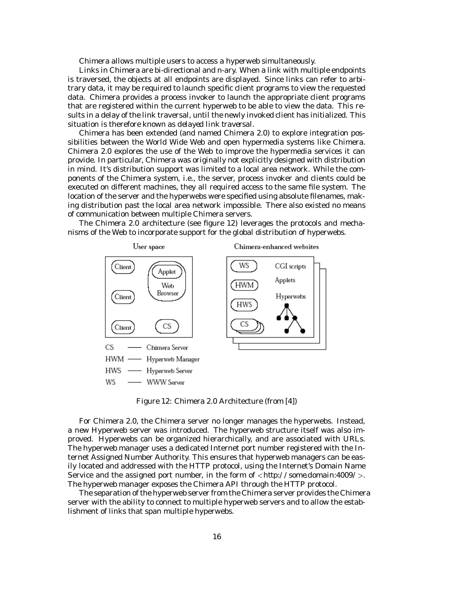Chimera allows multiple users to access a hyperweb simultaneously.

Links in Chimera are bi-directional and n-ary. When a link with multiple endpoints is traversed, the objects at all endpoints are displayed. Since links can refer to arbitrary data, it may be required to launch specific client programs to view the requested data. Chimera provides a process invoker to launch the appropriate client programs that are registered within the current hyperweb to be able to view the data. This results in a delay of the link traversal, until the newly invoked client has initialized. This situation is therefore known as *delayed link traversal*.

Chimera has been extended (and named Chimera 2.0) to explore integration possibilities between the World Wide Web and open hypermedia systems like Chimera. Chimera 2.0 explores the use of the Web to improve the hypermedia services it can provide. In particular, Chimera was originally not explicitly designed with distribution in mind. It's distribution support was limited to a local area network. While the components of the Chimera system, i.e., the server, process invoker and clients could be executed on different machines, they all required access to the same file system. The location of the server and the hyperwebs were specified using absolute filenames, making distribution past the local area network impossible. There also existed no means of communication between multiple Chimera servers.





Figure 12: Chimera 2.0 Architecture (from [4])

For Chimera 2.0, the Chimera server no longer manages the hyperwebs. Instead, a new Hyperweb server was introduced. The hyperweb structure itself was also improved. Hyperwebs can be organized hierarchically, and are associated with URLs. The hyperweb manager uses a dedicated Internet port number registered with the Internet Assigned Number Authority. This ensures that hyperweb managers can be easily located and addressed with the HTTP protocol, using the Internet's Domain Name Service and the assigned port number, in the form of <sup>&</sup>lt;*http://some.domain:4009/*>. The hyperweb manager exposes the Chimera API through the HTTP protocol.

The separation of the hyperweb server from the Chimera server provides the Chimera server with the ability to connect to multiple hyperweb servers and to allow the establishment of links that span multiple hyperwebs.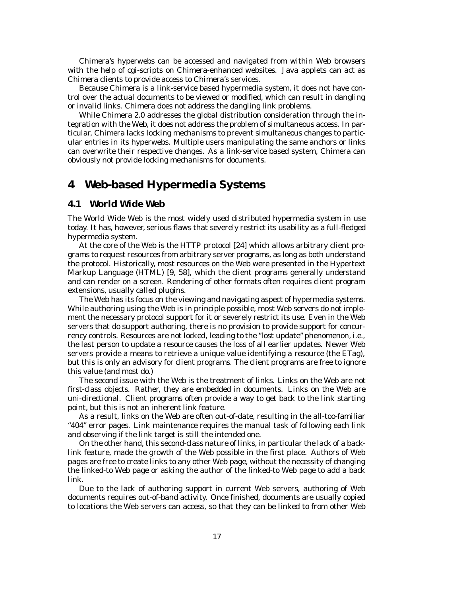Chimera's hyperwebs can be accessed and navigated from within Web browsers with the help of cgi-scripts on Chimera-enhanced websites. Java applets can act as Chimera clients to provide access to Chimera's services.

Because Chimera is a link-service based hypermedia system, it does not have control over the actual documents to be viewed or modified, which can result in dangling or invalid links. Chimera does not address the dangling link problems.

While Chimera 2.0 addresses the global distribution consideration through the integration with the Web, it does not address the problem of simultaneous access. In particular, Chimera lacks locking mechanisms to prevent simultaneous changes to particular entries in its hyperwebs. Multiple users manipulating the same anchors or links can overwrite their respective changes. As a link-service based system, Chimera can obviously not provide locking mechanisms for documents.

### **4 Web-based Hypermedia Systems**

### **4.1 World Wide Web**

The World Wide Web is the most widely used distributed hypermedia system in use today. It has, however, serious flaws that severely restrict its usability as a full-fledged hypermedia system.

At the core of the Web is the HTTP protocol [24] which allows arbitrary client programs to request resources from arbitrary server programs, as long as both understand the protocol. Historically, most resources on the Web were presented in the Hypertext Markup Language (HTML) [9, 58], which the client programs generally understand and can render on a screen. Rendering of other formats often requires client program extensions, usually called plugins.

The Web has its focus on the viewing and navigating aspect of hypermedia systems. While authoring using the Web is in principle possible, most Web servers do not implement the necessary protocol support for it or severely restrict its use. Even in the Web servers that do support authoring, there is no provision to provide support for concurrency controls. Resources are not locked, leading to the "lost update" phenomenon, i.e., the last person to update a resource causes the loss of all earlier updates. Newer Web servers provide a means to retrieve a unique value identifying a resource (the ETag), but this is only an advisory for client programs. The client programs are free to ignore this value (and most do.)

The second issue with the Web is the treatment of links. Links on the Web are not first-class objects. Rather, they are embedded in documents. Links on the Web are uni-directional. Client programs often provide a way to get back to the link starting point, but this is not an inherent link feature.

As a result, links on the Web are often out-of-date, resulting in the all-too-familiar "404" error pages. Link maintenance requires the manual task of following each link and observing if the link target is still the intended one.

On the other hand, this second-class nature of links, in particular the lack of a backlink feature, made the growth of the Web possible in the first place. Authors of Web pages are free to create links to any other Web page, without the necessity of changing the linked-to Web page or asking the author of the linked-to Web page to add a back link.

Due to the lack of authoring support in current Web servers, authoring of Web documents requires out-of-band activity. Once finished, documents are usually copied to locations the Web servers can access, so that they can be linked to from other Web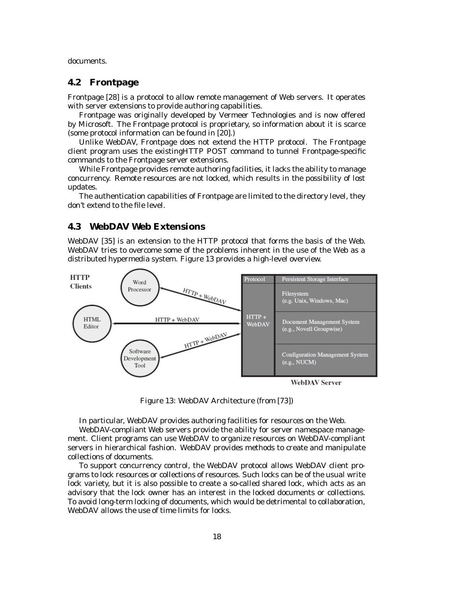documents.

### **4.2 Frontpage**

Frontpage [28] is a protocol to allow remote management of Web servers. It operates with server extensions to provide authoring capabilities.

Frontpage was originally developed by Vermeer Technologies and is now offered by Microsoft. The Frontpage protocol is proprietary, so information about it is scarce (some protocol information can be found in [20].)

Unlike WebDAV, Frontpage does not extend the HTTP protocol. The Frontpage client program uses the existingHTTP POST command to tunnel Frontpage-specific commands to the Frontpage server extensions.

While Frontpage provides remote authoring facilities, it lacks the ability to manage concurrency. Remote resources are not locked, which results in the possibility of lost updates.

The authentication capabilities of Frontpage are limited to the directory level, they don't extend to the file level.

### **4.3 WebDAV Web Extensions**

WebDAV [35] is an extension to the HTTP protocol that forms the basis of the Web. WebDAV tries to overcome some of the problems inherent in the use of the Web as a distributed hypermedia system. Figure 13 provides a high-level overview.



**WebDAV Server** 

Figure 13: WebDAV Architecture (from [73])

In particular, WebDAV provides authoring facilities for resources on the Web.

WebDAV-compliant Web servers provide the ability for server namespace management. Client programs can use WebDAV to organize resources on WebDAV-compliant servers in hierarchical fashion. WebDAV provides methods to create and manipulate collections of documents.

To support concurrency control, the WebDAV protocol allows WebDAV client programs to lock resources or collections of resources. Such locks can be of the usual write lock variety, but it is also possible to create a so-called shared lock, which acts as an advisory that the lock owner has an interest in the locked documents or collections. To avoid long-term locking of documents, which would be detrimental to collaboration, WebDAV allows the use of time limits for locks.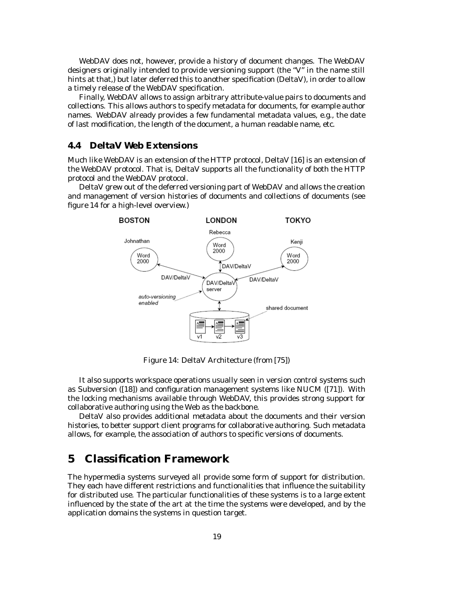WebDAV does not, however, provide a history of document changes. The WebDAV designers originally intended to provide versioning support (the "V" in the name still hints at that,) but later deferred this to another specification (DeltaV), in order to allow a timely release of the WebDAV specification.

Finally, WebDAV allows to assign arbitrary attribute-value pairs to documents and collections. This allows authors to specify metadata for documents, for example author names. WebDAV already provides a few fundamental metadata values, e.g., the date of last modification, the length of the document, a human readable name, etc.

### **4.4 DeltaV Web Extensions**

Much like WebDAV is an extension of the HTTP protocol, DeltaV [16] is an extension of the WebDAV protocol. That is, DeltaV supports all the functionality of both the HTTP protocol and the WebDAV protocol.

DeltaV grew out of the deferred versioning part of WebDAV and allows the creation and management of version histories of documents and collections of documents (see figure 14 for a high-level overview.)



Figure 14: DeltaV Architecture (from [75])

It also supports workspace operations usually seen in version control systems such as Subversion ([18]) and configuration management systems like NUCM ([71]). With the locking mechanisms available through WebDAV, this provides strong support for collaborative authoring using the Web as the backbone.

DeltaV also provides additional metadata about the documents and their version histories, to better support client programs for collaborative authoring. Such metadata allows, for example, the association of authors to specific versions of documents.

### **5 Classification Framework**

The hypermedia systems surveyed all provide some form of support for distribution. They each have different restrictions and functionalities that influence the suitability for distributed use. The particular functionalities of these systems is to a large extent influenced by the state of the art at the time the systems were developed, and by the application domains the systems in question target.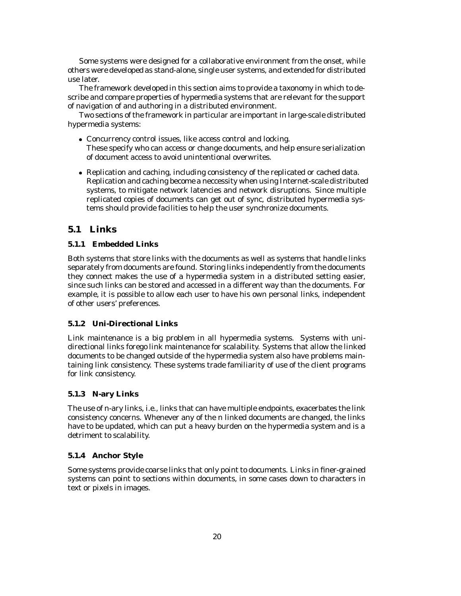Some systems were designed for a collaborative environment from the onset, while others were developed as stand-alone, single user systems, and extended for distributed use later.

The framework developed in this section aims to provide a taxonomy in which to describe and compare properties of hypermedia systems that are relevant for the support of navigation of and authoring in a distributed environment.

Two sections of the framework in particular are important in large-scale distributed hypermedia systems:

- Concurrency control issues, like access control and locking. These specify who can access or change documents, and help ensure serialization of document access to avoid unintentional overwrites.
- Replication and caching, including consistency of the replicated or cached data. Replication and caching become a neccessity when using Internet-scale distributed systems, to mitigate network latencies and network disruptions. Since multiple replicated copies of documents can get out of sync, distributed hypermedia systems should provide facilities to help the user synchronize documents.

### **5.1 Links**

### **5.1.1 Embedded Links**

Both systems that store links with the documents as well as systems that handle links separately from documents are found. Storing links independently from the documents they connect makes the use of a hypermedia system in a distributed setting easier, since such links can be stored and accessed in a different way than the documents. For example, it is possible to allow each user to have his own personal links, independent of other users' preferences.

### **5.1.2 Uni-Directional Links**

Link maintenance is a big problem in all hypermedia systems. Systems with unidirectional links forego link maintenance for scalability. Systems that allow the linked documents to be changed outside of the hypermedia system also have problems maintaining link consistency. These systems trade familiarity of use of the client programs for link consistency.

### **5.1.3 N-ary Links**

The use of n-ary links, i.e., links that can have multiple endpoints, exacerbates the link consistency concerns. Whenever any of the n linked documents are changed, the links have to be updated, which can put a heavy burden on the hypermedia system and is a detriment to scalability.

### **5.1.4 Anchor Style**

Some systems provide coarse links that only point to documents. Links in finer-grained systems can point to sections within documents, in some cases down to characters in text or pixels in images.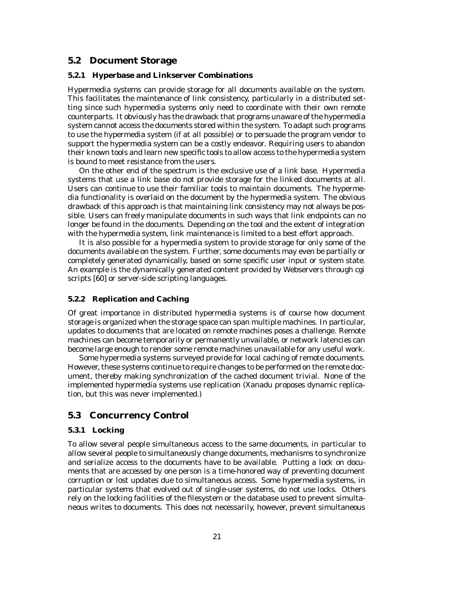### **5.2 Document Storage**

### **5.2.1 Hyperbase and Linkserver Combinations**

Hypermedia systems can provide storage for all documents available on the system. This facilitates the maintenance of link consistency, particularly in a distributed setting since such hypermedia systems only need to coordinate with their own remote counterparts. It obviously has the drawback that programs unaware of the hypermedia system cannot access the documents stored within the system. To adapt such programs to use the hypermedia system (if at all possible) or to persuade the program vendor to support the hypermedia system can be a costly endeavor. Requiring users to abandon their known tools and learn new specific tools to allow access to the hypermedia system is bound to meet resistance from the users.

On the other end of the spectrum is the exclusive use of a link base. Hypermedia systems that use a link base do not provide storage for the linked documents at all. Users can continue to use their familiar tools to maintain documents. The hypermedia functionality is overlaid on the document by the hypermedia system. The obvious drawback of this approach is that maintaining link consistency may not always be possible. Users can freely manipulate documents in such ways that link endpoints can no longer be found in the documents. Depending on the tool and the extent of integration with the hypermedia system, link maintenance is limited to a best effort approach.

It is also possible for a hypermedia system to provide storage for only some of the documents available on the system. Further, some documents may even be partially or completely generated dynamically, based on some specific user input or system state. An example is the dynamically generated content provided by Webservers through cgi scripts [60] or server-side scripting languages.

### **5.2.2 Replication and Caching**

Of great importance in distributed hypermedia systems is of course how document storage is organized when the storage space can span multiple machines. In particular, updates to documents that are located on remote machines poses a challenge. Remote machines can become temporarily or permanently unvailable, or network latencies can become large enough to render some remote machines unavailable for any useful work.

Some hypermedia systems surveyed provide for local caching of remote documents. However, these systems continue to require changes to be performed on the remote document, thereby making synchronization of the cached document trivial. None of the implemented hypermedia systems use replication (Xanadu proposes dynamic replication, but this was never implemented.)

### **5.3 Concurrency Control**

### **5.3.1 Locking**

To allow several people simultaneous access to the same documents, in particular to allow several people to simultaneously change documents, mechanisms to synchronize and serialize access to the documents have to be available. Putting a lock on documents that are accessed by one person is a time-honored way of preventing document corruption or lost updates due to simultaneous access. Some hypermedia systems, in particular systems that evolved out of single-user systems, do not use locks. Others rely on the locking facilities of the filesystem or the database used to prevent simultaneous writes to documents. This does not necessarily, however, prevent simultaneous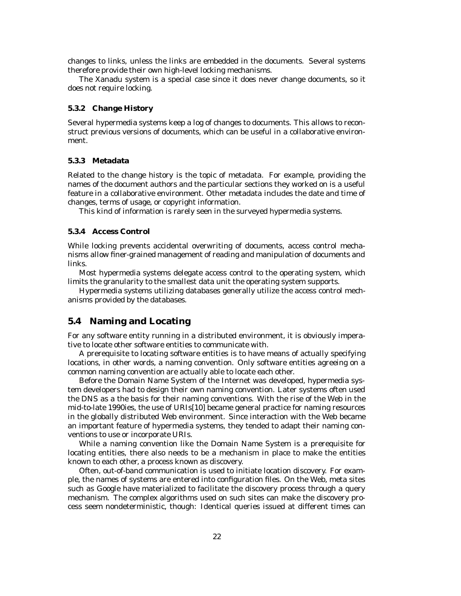changes to links, unless the links are embedded in the documents. Several systems therefore provide their own high-level locking mechanisms.

The Xanadu system is a special case since it does never change documents, so it does not require locking.

#### **5.3.2 Change History**

Several hypermedia systems keep a log of changes to documents. This allows to reconstruct previous versions of documents, which can be useful in a collaborative environment.

#### **5.3.3 Metadata**

Related to the change history is the topic of metadata. For example, providing the names of the document authors and the particular sections they worked on is a useful feature in a collaborative environment. Other metadata includes the date and time of changes, terms of usage, or copyright information.

This kind of information is rarely seen in the surveyed hypermedia systems.

### **5.3.4 Access Control**

While locking prevents accidental overwriting of documents, access control mechanisms allow finer-grained management of reading and manipulation of documents and links.

Most hypermedia systems delegate access control to the operating system, which limits the granularity to the smallest data unit the operating system supports.

Hypermedia systems utilizing databases generally utilize the access control mechanisms provided by the databases.

### **5.4 Naming and Locating**

For any software entity running in a distributed environment, it is obviously imperative to locate other software entities to communicate with.

A prerequisite to locating software entities is to have means of actually specifying locations, in other words, a naming convention. Only software entities agreeing on a common naming convention are actually able to locate each other.

Before the Domain Name System of the Internet was developed, hypermedia system developers had to design their own naming convention. Later systems often used the DNS as a the basis for their naming conventions. With the rise of the Web in the mid-to-late 1990ies, the use of URIs[10] became general practice for naming resources in the globally distributed Web environment. Since interaction with the Web became an important feature of hypermedia systems, they tended to adapt their naming conventions to use or incorporate URIs.

While a naming convention like the Domain Name System is a prerequisite for locating entities, there also needs to be a mechanism in place to make the entities known to each other, a process known as discovery.

Often, out-of-band communication is used to initiate location discovery. For example, the names of systems are entered into configuration files. On the Web, meta sites such as Google have materialized to facilitate the discovery process through a query mechanism. The complex algorithms used on such sites can make the discovery process seem nondeterministic, though: Identical queries issued at different times can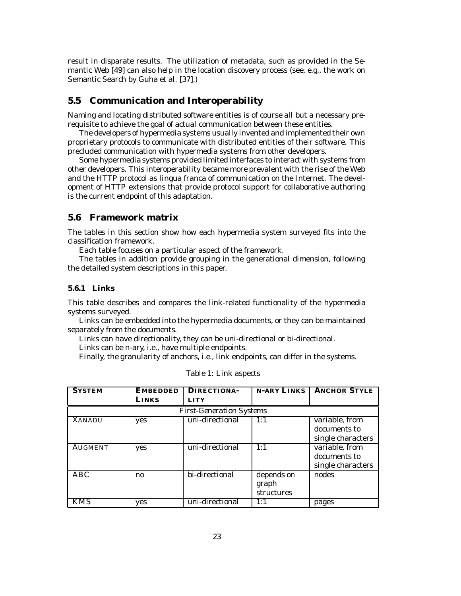result in disparate results. The utilization of metadata, such as provided in the Semantic Web [49] can also help in the location discovery process (see, e.g., the work on Semantic Search by Guha et al. [37].)

### **5.5 Communication and Interoperability**

Naming and locating distributed software entities is of course all but a necessary prerequisite to achieve the goal of actual communication between these entities.

The developers of hypermedia systems usually invented and implemented their own proprietary protocols to communicate with distributed entities of their software. This precluded communication with hypermedia systems from other developers.

Some hypermedia systems provided limited interfaces to interact with systems from other developers. This interoperability became more prevalent with the rise of the Web and the HTTP protocol as *lingua franca* of communication on the Internet. The development of HTTP extensions that provide protocol support for collaborative authoring is the current endpoint of this adaptation.

### **5.6 Framework matrix**

The tables in this section show how each hypermedia system surveyed fits into the classification framework.

Each table focuses on a particular aspect of the framework.

The tables in addition provide grouping in the generational dimension, following the detailed system descriptions in this paper.

#### **5.6.1 Links**

This table describes and compares the link-related functionality of the hypermedia systems surveyed.

Links can be embedded into the hypermedia documents, or they can be maintained separately from the documents.

Links can have directionality, they can be uni-directional or bi-directional.

Links can be n-ary, i.e., have multiple endpoints.

Finally, the granularity of anchors, i.e., link endpoints, can differ in the systems.

| <b>SYSTEM</b>  | <b>EMBEDDED</b> | <b>DIRECTIONA-</b>              | N-ARY LINKS | <b>ANCHOR STYLE</b> |
|----------------|-----------------|---------------------------------|-------------|---------------------|
|                | LINKS           | <b>LITY</b>                     |             |                     |
|                |                 | <b>First-Generation Systems</b> |             |                     |
| <b>XANADU</b>  | yes             | uni-directional                 | 1:1         | variable, from      |
|                |                 |                                 |             | documents to        |
|                |                 |                                 |             | single characters   |
| <b>AUGMENT</b> | yes             | uni-directional                 | 1:1         | variable, from      |
|                |                 |                                 |             | documents to        |
|                |                 |                                 |             | single characters   |
| <b>ABC</b>     | $\mathbf{n}$    | bi-directional                  | depends on  | nodes               |
|                |                 |                                 | graph       |                     |
|                |                 |                                 | structures  |                     |
| <b>KMS</b>     | yes             | uni-directional                 | 1:1         | pages               |

|  |  |  | Table 1: Link aspects |
|--|--|--|-----------------------|
|--|--|--|-----------------------|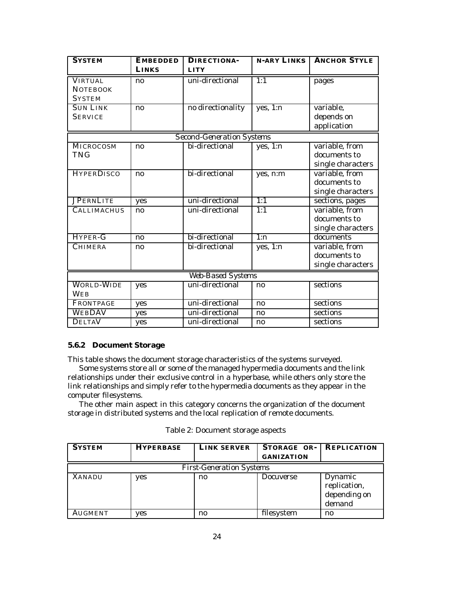| <b>SYSTEM</b>            | <b>EMBEDDED</b> | <b>DIRECTIONA-</b>               | <b>N-ARY LINKS</b> | <b>ANCHOR STYLE</b> |
|--------------------------|-----------------|----------------------------------|--------------------|---------------------|
|                          | <b>LINKS</b>    | <b>LITY</b>                      |                    |                     |
| <b>VIRTUAL</b>           | no              | uni-directional                  | 1:1                | pages               |
| <b>NOTEBOOK</b>          |                 |                                  |                    |                     |
| <b>SYSTEM</b>            |                 |                                  |                    |                     |
| <b>SUN LINK</b>          | no              | no directionality                | yes, 1:n           | variable,           |
| <b>SERVICE</b>           |                 |                                  |                    | depends on          |
|                          |                 |                                  |                    | application         |
|                          |                 | <b>Second-Generation Systems</b> |                    |                     |
| MICROCOSM                | no              | bi-directional                   | yes, $1:n$         | variable, from      |
| <b>TNG</b>               |                 |                                  |                    | documents to        |
|                          |                 |                                  |                    | single characters   |
| <b>HYPERDISCO</b>        | no              | bi-directional                   | yes, n:m           | variable, from      |
|                          |                 |                                  |                    | documents to        |
|                          |                 |                                  |                    | single characters   |
| <b>JPERNLITE</b>         | yes             | uni-directional                  | 1:1                | sections, pages     |
| <b>CALLIMACHUS</b>       | no              | uni-directional                  | $\overline{1:1}$   | variable, from      |
|                          |                 |                                  |                    | documents to        |
|                          |                 |                                  |                    | single characters   |
| HYPER-G                  | no              | bi-directional                   | $\overline{1:n}$   | documents           |
| <b>CHIMERA</b>           | no              | bi-directional                   | yes, $1:n$         | variable, from      |
|                          |                 |                                  |                    | documents to        |
|                          |                 |                                  |                    | single characters   |
| <b>Web-Based Systems</b> |                 |                                  |                    |                     |
| <b>WORLD-WIDE</b>        | yes             | uni-directional                  | no                 | sections            |
| <b>WEB</b>               |                 |                                  |                    |                     |
| FRONTPAGE                | yes             | uni-directional                  | no                 | sections            |
| <b>WEBDAV</b>            | yes             | uni-directional                  | no                 | sections            |
| <b>DELTAV</b>            | yes             | uni-directional                  | n <sub>0</sub>     | sections            |

### **5.6.2 Document Storage**

This table shows the document storage characteristics of the systems surveyed.

Some systems store all or some of the managed hypermedia documents and the link relationships under their exclusive control in a hyperbase, while others only store the link relationships and simply refer to the hypermedia documents as they appear in the computer filesystems.

The other main aspect in this category concerns the organization of the document storage in distributed systems and the local replication of remote documents.

| <b>SYSTEM</b>  | <b>HYPERBASE</b>                | <b>LINK SERVER</b>     | STORAGE OR-<br><b>GANIZATION</b> | <b>REPLICATION</b>                                |  |  |
|----------------|---------------------------------|------------------------|----------------------------------|---------------------------------------------------|--|--|
|                | <b>First-Generation Systems</b> |                        |                                  |                                                   |  |  |
| <b>XANADU</b>  | yes                             | $\mathbf{n}\mathbf{o}$ | <i>Docuverse</i>                 | Dynamic<br>replication,<br>depending on<br>demand |  |  |
| <b>AUGMENT</b> | yes                             | n0                     | filesystem                       | $\mathbf{n}$                                      |  |  |

### Table 2: Document storage aspects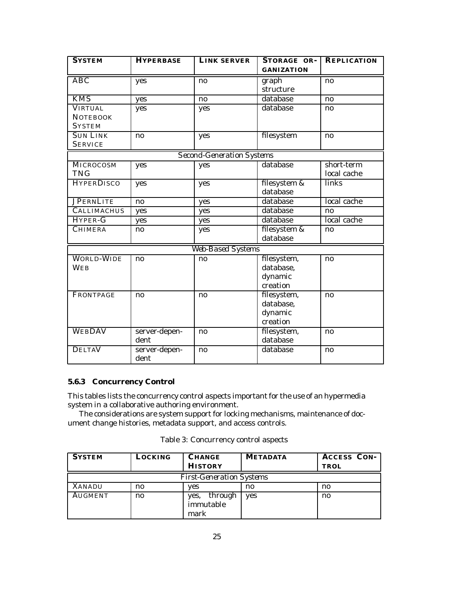| <b>SYSTEM</b>      | <b>HYPERBASE</b>       | <b>LINK SERVER</b>               | STORAGE OR-       | <b>REPLICATION</b> |
|--------------------|------------------------|----------------------------------|-------------------|--------------------|
|                    |                        |                                  | <b>GANIZATION</b> |                    |
| <b>ABC</b>         | yes                    | no                               | graph             | no                 |
|                    |                        |                                  | structure         |                    |
| <b>KMS</b>         | yes                    | $\mathbf{n}\mathbf{o}$           | database          | no                 |
| <b>VIRTUAL</b>     | yes                    | yes                              | database          | no                 |
| <b>NOTEBOOK</b>    |                        |                                  |                   |                    |
| <b>SYSTEM</b>      |                        |                                  |                   |                    |
| <b>SUN LINK</b>    | no                     | yes                              | filesystem        | no                 |
| <b>SERVICE</b>     |                        |                                  |                   |                    |
|                    |                        | <b>Second-Generation Systems</b> |                   |                    |
| MICROCOSM          | yes                    | yes                              | database          | short-term         |
| <b>TNG</b>         |                        |                                  |                   | local cache        |
| <b>HYPERDISCO</b>  | yes                    | yes                              | filesystem &      | links              |
|                    |                        |                                  | database          |                    |
| <b>JPERNLITE</b>   | $\mathbf{n}\mathbf{o}$ | yes                              | database          | local cache        |
| <b>CALLIMACHUS</b> | yes                    | yes                              | database          | no                 |
| HYPER-G            | yes                    | yes                              | database          | local cache        |
| <b>CHIMERA</b>     | $\mathbf{n}$           | yes                              | filesystem &      | no                 |
|                    |                        |                                  | database          |                    |
|                    |                        | Web-Based Systems                |                   |                    |
| <b>WORLD-WIDE</b>  | no                     | no                               | filesystem,       | no                 |
| <b>WEB</b>         |                        |                                  | database,         |                    |
|                    |                        |                                  | dynamic           |                    |
|                    |                        |                                  | creation          |                    |
| <b>FRONTPAGE</b>   | no                     | no                               | filesystem,       | no                 |
|                    |                        |                                  | database,         |                    |
|                    |                        |                                  | dynamic           |                    |
|                    |                        |                                  | creation          |                    |
| <b>WEBDAV</b>      | server-depen-          | no                               | filesystem,       | no                 |
|                    | dent                   |                                  | database          |                    |
| <b>DELTAV</b>      | server-depen-          | no                               | database          | $\mathbf{n}$       |
|                    | dent                   |                                  |                   |                    |

### **5.6.3 Concurrency Control**

This tables lists the concurrency control aspects important for the use of an hypermedia system in a collaborative authoring environment.

The considerations are system support for locking mechanisms, maintenance of document change histories, metadata support, and access controls.

|  | Table 3: Concurrency control aspects |  |  |
|--|--------------------------------------|--|--|
|--|--------------------------------------|--|--|

| <b>SYSTEM</b>                   | LOCKING      | <b>CHANGE</b><br><b>HISTORY</b>      | <b>METADATA</b> | <b>ACCESS CON-</b><br><b>TROL</b> |
|---------------------------------|--------------|--------------------------------------|-----------------|-----------------------------------|
| <b>First-Generation Systems</b> |              |                                      |                 |                                   |
| <b>XANADU</b>                   | $\mathbf{n}$ | ves                                  | n0              | $\mathbf{n}$                      |
| <b>AUGMENT</b>                  | no           | through<br>ves.<br>immutable<br>mark | <b>ves</b>      | n0                                |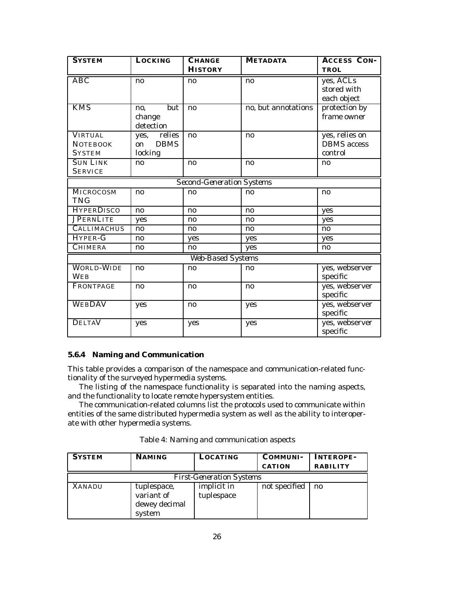| <b>SYSTEM</b>      | <b>LOCKING</b>    | <b>CHANGE</b>                    | <b>METADATA</b>     | <b>ACCESS CON-</b> |
|--------------------|-------------------|----------------------------------|---------------------|--------------------|
|                    |                   | <b>HISTORY</b>                   |                     | TROL               |
| <b>ABC</b>         | no                | no                               | no                  | yes, ACLs          |
|                    |                   |                                  |                     | stored with        |
|                    |                   |                                  |                     | each object        |
| <b>KMS</b>         | but<br>no,        | no                               | no, but annotations | protection by      |
|                    | change            |                                  |                     | frame owner        |
|                    | detection         |                                  |                     |                    |
| <b>VIRTUAL</b>     | yes, relies       | no                               | no                  | yes, relies on     |
| <b>NOTEBOOK</b>    | <b>DBMS</b><br>on |                                  |                     | <b>DBMS</b> access |
| <b>SYSTEM</b>      | locking           |                                  |                     | control            |
| <b>SUN LINK</b>    | no                | no                               | no                  | no                 |
| <b>SERVICE</b>     |                   |                                  |                     |                    |
|                    |                   | <b>Second-Generation Systems</b> |                     |                    |
| MICROCOSM          | no                | no                               | $\mathbf{n}$        | no                 |
| <b>TNG</b>         |                   |                                  |                     |                    |
| <b>HYPERDISCO</b>  | no                | no                               | no                  | yes                |
| <b>JPERNLITE</b>   | yes               | no                               | no                  | yes                |
| <b>CALLIMACHUS</b> | no                | $\mathbf{n}\mathbf{o}$           | no                  | no                 |
| HYPER-G            | no                | yes                              | yes                 | yes                |
| <b>CHIMERA</b>     | n <sub>0</sub>    | no                               | yes                 | no                 |
|                    |                   | <b>Web-Based Systems</b>         |                     |                    |
| <b>WORLD-WIDE</b>  | no                | no                               | no                  | yes, webserver     |
| <b>WEB</b>         |                   |                                  |                     | specific           |
| <b>FRONTPAGE</b>   | no                | no                               | no                  | yes, webserver     |
|                    |                   |                                  |                     | specific           |
| <b>WEBDAV</b>      | yes               | no                               | yes                 | yes, webserver     |
|                    |                   |                                  |                     | specific           |
| <b>DELTAV</b>      | yes               | yes                              | yes                 | yes, webserver     |
|                    |                   |                                  |                     | specific           |

### **5.6.4 Naming and Communication**

This table provides a comparison of the namespace and communication-related functionality of the surveyed hypermedia systems.

The listing of the namespace functionality is separated into the naming aspects, and the functionality to locate remote hypersystem entities.

The communication-related columns list the protocols used to communicate within entities of the same distributed hypermedia system as well as the ability to interoperate with other hypermedia systems.

|  | Table 4: Naming and communication aspects |  |
|--|-------------------------------------------|--|
|  |                                           |  |

| <b>SYSTEM</b>                   | <b>NAMING</b>                                        | LOCATING                  | COMMUNI-      | <b>INTEROPE-</b> |  |  |  |
|---------------------------------|------------------------------------------------------|---------------------------|---------------|------------------|--|--|--|
|                                 |                                                      |                           | <b>CATION</b> | <b>RABILITY</b>  |  |  |  |
| <b>First-Generation Systems</b> |                                                      |                           |               |                  |  |  |  |
| <b>XANADU</b>                   | tuplespace,<br>variant of<br>dewey decimal<br>system | implicit in<br>tuplespace | not specified | no.              |  |  |  |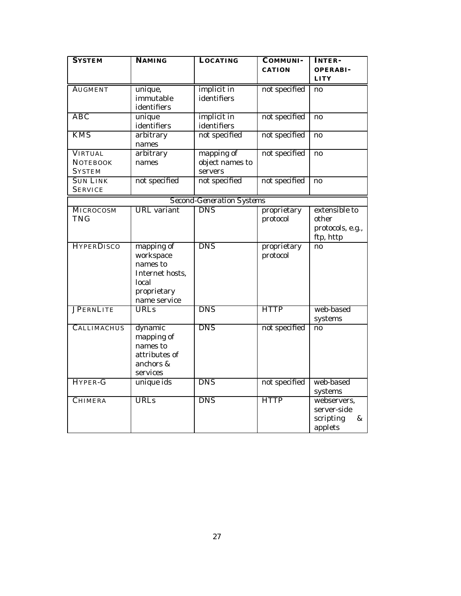| <b>SYSTEM</b>      | <b>NAMING</b>      | <b>LOCATING</b>                  | <b>COMMUNI-</b> | <b>INTER-</b>          |
|--------------------|--------------------|----------------------------------|-----------------|------------------------|
|                    |                    |                                  | <b>CATION</b>   | <b>OPERABI-</b>        |
|                    |                    |                                  |                 | <b>LITY</b>            |
| <b>AUGMENT</b>     | unique,            | implicit in                      | not specified   | no                     |
|                    | immutable          | identifiers                      |                 |                        |
|                    | identifiers        |                                  |                 |                        |
| <b>ABC</b>         | unique             | implicit in                      | not specified   | no                     |
|                    | identifiers        | identifiers                      |                 |                        |
| <b>KMS</b>         | arbitrary          | not specified                    | not specified   | no                     |
|                    | names              |                                  |                 |                        |
| <b>VIRTUAL</b>     | arbitrary          | mapping of                       | not specified   | no                     |
| <b>NOTEBOOK</b>    | names              | object names to                  |                 |                        |
| <b>SYSTEM</b>      |                    | servers                          |                 |                        |
| <b>SUN LINK</b>    | not specified      | not specified                    | not specified   | $\mathbf{n}\mathbf{o}$ |
| <b>SERVICE</b>     |                    |                                  |                 |                        |
|                    |                    | <b>Second-Generation Systems</b> |                 |                        |
| <b>MICROCOSM</b>   | <b>URL</b> variant | <b>DNS</b>                       | proprietary     | extensible to          |
| <b>TNG</b>         |                    |                                  | protocol        | other                  |
|                    |                    |                                  |                 | protocols, e.g.,       |
|                    |                    |                                  |                 | ftp, http              |
| <b>HYPERDISCO</b>  | mapping of         | <b>DNS</b>                       | proprietary     | no                     |
|                    | workspace          |                                  | protocol        |                        |
|                    | names to           |                                  |                 |                        |
|                    | Internet hosts,    |                                  |                 |                        |
|                    | local              |                                  |                 |                        |
|                    | proprietary        |                                  |                 |                        |
|                    | name service       |                                  |                 |                        |
| <b>JPERNLITE</b>   | <b>URLs</b>        | <b>DNS</b>                       | <b>HTTP</b>     | web-based              |
|                    |                    |                                  |                 | systems                |
| <b>CALLIMACHUS</b> | dynamic            | <b>DNS</b>                       | not specified   | no                     |
|                    | mapping of         |                                  |                 |                        |
|                    | names to           |                                  |                 |                        |
|                    | attributes of      |                                  |                 |                        |
|                    | anchors &          |                                  |                 |                        |
|                    | services           |                                  |                 |                        |
| HYPER-G            | unique ids         | <b>DNS</b>                       | not specified   | web-based              |
|                    |                    |                                  |                 | systems                |
| <b>CHIMERA</b>     | <b>URLs</b>        | <b>DNS</b>                       | <b>HTTP</b>     | webservers,            |
|                    |                    |                                  |                 | server-side            |
|                    |                    |                                  |                 | scripting<br>&         |
|                    |                    |                                  |                 | applets                |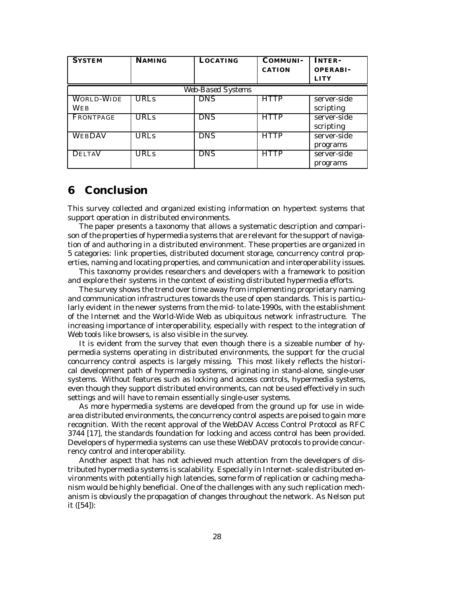| <b>SYSTEM</b>            | <b>NAMING</b> | <b>LOCATING</b> | <b>COMMUNI-</b><br><b>CATION</b> | <b>INTER-</b><br><b>OPERABI-</b> |  |  |  |
|--------------------------|---------------|-----------------|----------------------------------|----------------------------------|--|--|--|
|                          |               |                 |                                  | <b>LITY</b>                      |  |  |  |
| Web-Based Systems        |               |                 |                                  |                                  |  |  |  |
| <b>WORLD-WIDE</b><br>WEB | <b>URLs</b>   | <b>DNS</b>      | <b>HTTP</b>                      | server-side<br>scripting         |  |  |  |
| FRONTPAGE                | <b>URLs</b>   | <b>DNS</b>      | <b>HTTP</b>                      | server-side<br>scripting         |  |  |  |
| <b>WEBDAV</b>            | <b>URLs</b>   | <b>DNS</b>      | <b>HTTP</b>                      | server-side<br>programs          |  |  |  |
| <b>DELTAV</b>            | <b>URLs</b>   | <b>DNS</b>      | <b>HTTP</b>                      | server-side<br>programs          |  |  |  |

### **6 Conclusion**

This survey collected and organized existing information on hypertext systems that support operation in distributed environments.

The paper presents a taxonomy that allows a systematic description and comparison of the properties of hypermedia systems that are relevant for the support of navigation of and authoring in a distributed environment. These properties are organized in 5 categories: link properties, distributed document storage, concurrency control properties, naming and locating properties, and communication and interoperability issues.

This taxonomy provides researchers and developers with a framework to position and explore their systems in the context of existing distributed hypermedia efforts.

The survey shows the trend over time away from implementing proprietary naming and communication infrastructures towards the use of open standards. This is particularly evident in the newer systems from the mid- to late-1990s, with the establishment of the Internet and the World-Wide Web as ubiquitous network infrastructure. The increasing importance of interoperability, especially with respect to the integration of Web tools like browsers, is also visible in the survey.

It is evident from the survey that even though there is a sizeable number of hypermedia systems operating in distributed environments, the support for the crucial concurrency control aspects is largely missing. This most likely reflects the historical development path of hypermedia systems, originating in stand-alone, single-user systems. Without features such as locking and access controls, hypermedia systems, even though they support distributed environments, can not be used effectively in such settings and will have to remain essentially single-user systems.

As more hypermedia systems are developed from the ground up for use in widearea distributed environments, the concurrency control aspects are poised to gain more recognition. With the recent approval of the WebDAV Access Control Protocol as RFC 3744 [17], the standards foundation for locking and access control has been provided. Developers of hypermedia systems can use these WebDAV protocols to provide concurrency control and interoperability.

Another aspect that has not achieved much attention from the developers of distributed hypermedia systems is scalability. Especially in Internet- scale distributed environments with potentially high latencies, some form of replication or caching mechanism would be highly beneficial. One of the challenges with any such replication mechanism is obviously the propagation of changes throughout the network. As Nelson put it ([54]):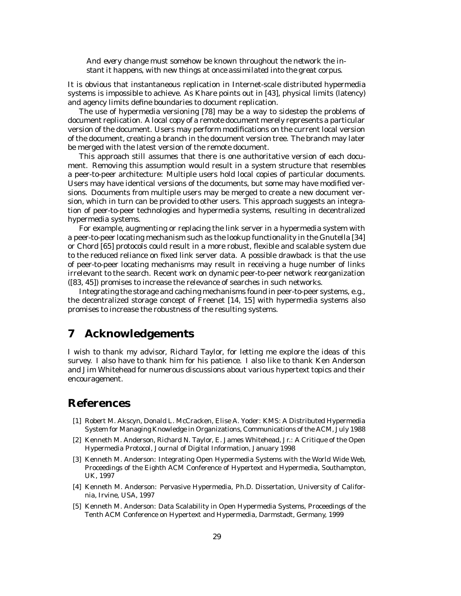*And every change must somehow be known throughout the network the instant it happens, with new things at once assimilated into the great corpus.*

It is obvious that instantaneous replication in Internet-scale distributed hypermedia systems is impossible to achieve. As Khare points out in [43], physical limits (latency) and agency limits define boundaries to document replication.

The use of hypermedia versioning [78] may be a way to sidestep the problems of document replication. A local copy of a remote document merely represents a particular version of the document. Users may perform modifications on the current local version of the document, creating a branch in the document version tree. The branch may later be merged with the latest version of the remote document.

This approach still assumes that there is one authoritative version of each document. Removing this assumption would result in a system structure that resembles a peer-to-peer architecture: Multiple users hold local copies of particular documents. Users may have identical versions of the documents, but some may have modified versions. Documents from multiple users may be merged to create a new document version, which in turn can be provided to other users. This approach suggests an integration of peer-to-peer technologies and hypermedia systems, resulting in decentralized hypermedia systems.

For example, augmenting or replacing the link server in a hypermedia system with a peer-to-peer locating mechanism such as the lookup functionality in the Gnutella [34] or Chord [65] protocols could result in a more robust, flexible and scalable system due to the reduced reliance on fixed link server data. A possible drawback is that the use of peer-to-peer locating mechanisms may result in receiving a huge number of links irrelevant to the search. Recent work on dynamic peer-to-peer network reorganization ([83, 45]) promises to increase the relevance of searches in such networks.

Integrating the storage and caching mechanisms found in peer-to-peer systems, e.g., the decentralized storage concept of Freenet [14, 15] with hypermedia systems also promises to increase the robustness of the resulting systems.

### **7 Acknowledgements**

I wish to thank my advisor, Richard Taylor, for letting me explore the ideas of this survey. I also have to thank him for his patience. I also like to thank Ken Anderson and Jim Whitehead for numerous discussions about various hypertext topics and their encouragement.

### **References**

- [1] Robert M. Akscyn, Donald L. McCracken, Elise A. Yoder: KMS: A Distributed Hypermedia System for Managing Knowledge in Organizations, Communications of the ACM, July 1988
- [2] Kenneth M. Anderson, Richard N. Taylor, E. James Whitehead, Jr.: A Critique of the Open Hypermedia Protocol, Journal of Digital Information, January 1998
- [3] Kenneth M. Anderson: Integrating Open Hypermedia Systems with the World Wide Web, Proceedings of the Eighth ACM Conference of Hypertext and Hypermedia, Southampton, UK, 1997
- [4] Kenneth M. Anderson: Pervasive Hypermedia, Ph.D. Dissertation, University of California, Irvine, USA, 1997
- [5] Kenneth M. Anderson: Data Scalability in Open Hypermedia Systems, Proceedings of the Tenth ACM Conference on Hypertext and Hypermedia, Darmstadt, Germany, 1999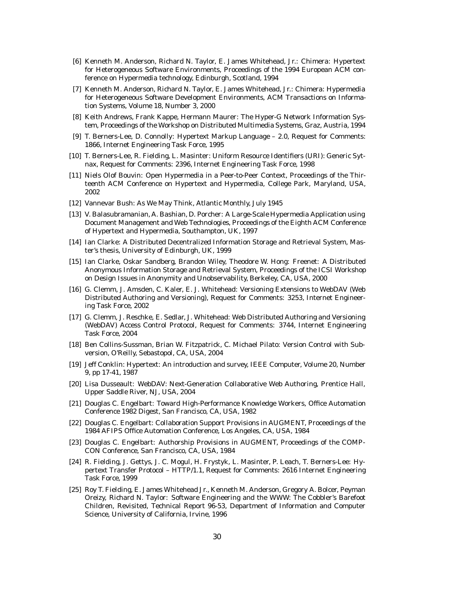- [6] Kenneth M. Anderson, Richard N. Taylor, E. James Whitehead, Jr.: Chimera: Hypertext for Heterogeneous Software Environments, Proceedings of the 1994 European ACM conference on Hypermedia technology, Edinburgh, Scotland, 1994
- [7] Kenneth M. Anderson, Richard N. Taylor, E. James Whitehead, Jr.: Chimera: Hypermedia for Heterogeneous Software Development Environments, ACM Transactions on Information Systems, Volume 18, Number 3, 2000
- [8] Keith Andrews, Frank Kappe, Hermann Maurer: The Hyper-G Network Information System, Proceedings of the Workshop on Distributed Multimedia Systems, Graz, Austria, 1994
- [9] T. Berners-Lee, D. Connolly: Hypertext Markup Language 2.0, Request for Comments: 1866, Internet Engineering Task Force, 1995
- [10] T. Berners-Lee, R. Fielding, L. Masinter: Uniform Resource Identifiers (URI): Generic Sytnax, Request for Comments: 2396, Internet Engineering Task Force, 1998
- [11] Niels Olof Bouvin: Open Hypermedia in a Peer-to-Peer Context, Proceedings of the Thirteenth ACM Conference on Hypertext and Hypermedia, College Park, Maryland, USA, 2002
- [12] Vannevar Bush: As We May Think, Atlantic Monthly, July 1945
- [13] V. Balasubramanian, A. Bashian, D. Porcher: A Large-Scale Hypermedia Application using Document Management and Web Technologies, Proceedings of the Eighth ACM Conference of Hypertext and Hypermedia, Southampton, UK, 1997
- [14] Ian Clarke: A Distributed Decentralized Information Storage and Retrieval System, Master's thesis, University of Edinburgh, UK, 1999
- [15] Ian Clarke, Oskar Sandberg, Brandon Wiley, Theodore W. Hong: Freenet: A Distributed Anonymous Information Storage and Retrieval System, Proceedings of the ICSI Workshop on Design Issues in Anonymity and Unobservability, Berkeley, CA, USA, 2000
- [16] G. Clemm, J. Amsden, C. Kaler, E. J. Whitehead: Versioning Extensions to WebDAV (Web Distributed Authoring and Versioning), Request for Comments: 3253, Internet Engineering Task Force, 2002
- [17] G. Clemm, J. Reschke, E. Sedlar, J. Whitehead: Web Distributed Authoring and Versioning (WebDAV) Access Control Protocol, Request for Comments: 3744, Internet Engineering Task Force, 2004
- [18] Ben Collins-Sussman, Brian W. Fitzpatrick, C. Michael Pilato: Version Control with Subversion, O'Reilly, Sebastopol, CA, USA, 2004
- [19] Jeff Conklin: Hypertext: An introduction and survey, IEEE Computer, Volume 20, Number 9, pp 17-41, 1987
- [20] Lisa Dusseault: WebDAV: Next-Generation Collaborative Web Authoring, Prentice Hall, Upper Saddle River, NJ, USA, 2004
- [21] Douglas C. Engelbart: Toward High-Performance Knowledge Workers, Office Automation Conference 1982 Digest, San Francisco, CA, USA, 1982
- [22] Douglas C. Engelbart: Collaboration Support Provisions in AUGMENT, Proceedings of the 1984 AFIPS Office Automation Conference, Los Angeles, CA, USA, 1984
- [23] Douglas C. Engelbart: Authorship Provisions in AUGMENT, Proceedings of the COMP-CON Conference, San Francisco, CA, USA, 1984
- [24] R. Fielding, J. Gettys, J. C. Mogul, H. Frystyk, L. Masinter, P. Leach, T. Berners-Lee: Hypertext Transfer Protocol – HTTP/1.1, Request for Comments: 2616 Internet Engineering Task Force, 1999
- [25] Roy T. Fielding, E. James Whitehead Jr., Kenneth M. Anderson, Gregory A. Bolcer, Peyman Oreizy, Richard N. Taylor: Software Engineering and the WWW: The Cobbler's Barefoot Children, Revisited, Technical Report 96-53, Department of Information and Computer Science, University of California, Irvine, 1996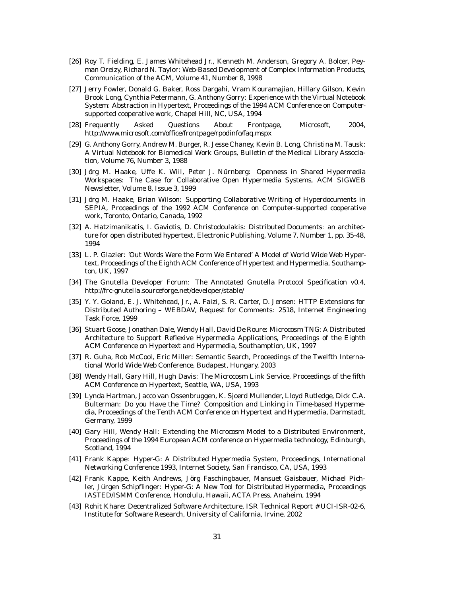- [26] Roy T. Fielding, E. James Whitehead Jr., Kenneth M. Anderson, Gregory A. Bolcer, Peyman Oreizy, Richard N. Taylor: Web-Based Development of Complex Information Products, Communication of the ACM, Volume 41, Number 8, 1998
- [27] Jerry Fowler, Donald G. Baker, Ross Dargahi, Vram Kouramajian, Hillary Gilson, Kevin Brook Long, Cynthia Petermann, G. Anthony Gorry: Experience with the Virtual Notebook System: Abstraction in Hypertext, Proceedings of the 1994 ACM Conference on Computersupported cooperative work, Chapel Hill, NC, USA, 1994
- [28] Frequently Asked Questions About Frontpage, Microsoft, 2004, http://www.microsoft.com/office/frontpage/rpodinfo/faq.mspx
- [29] G. Anthony Gorry, Andrew M. Burger, R. Jesse Chaney, Kevin B. Long, Christina M. Tausk: A Virtual Notebook for Biomedical Work Groups, Bulletin of the Medical Library Association, Volume 76, Number 3, 1988
- [30] Jörg M. Haake, Uffe K. Wiil, Peter J. Nürnberg: Openness in Shared Hypermedia Workspaces: The Case for Collaborative Open Hypermedia Systems, ACM SIGWEB Newsletter, Volume 8, Issue 3, 1999
- [31] Jörg M. Haake, Brian Wilson: Supporting Collaborative Writing of Hyperdocuments in SEPIA, Proceedings of the 1992 ACM Conference on Computer-supported cooperative work, Toronto, Ontario, Canada, 1992
- [32] A. Hatzimanikatis, I. Gaviotis, D. Christodoulakis: Distributed Documents: an architecture for open distributed hypertext, Electronic Publishing, Volume 7, Number 1, pp. 35-48, 1994
- [33] L. P. Glazier: 'Out Words Were the Form We Entered' A Model of World Wide Web Hypertext, Proceedings of the Eighth ACM Conference of Hypertext and Hypermedia, Southampton, UK, 1997
- [34] The Gnutella Developer Forum: The Annotated Gnutella Protocol Specification v0.4, http://frc-gnutella.sourceforge.net/developer/stable/
- [35] Y. Y. Goland, E. J. Whitehead, Jr., A. Faizi, S. R. Carter, D. Jensen: HTTP Extensions for Distributed Authoring – WEBDAV, Request for Comments: 2518, Internet Engineering Task Force, 1999
- [36] Stuart Goose, Jonathan Dale, Wendy Hall, David De Roure: Microcosm TNG: A Distributed Architecture to Support Reflexive Hypermedia Applications, Proceedings of the Eighth ACM Conference on Hypertext and Hypermedia, Southamption, UK, 1997
- [37] R. Guha, Rob McCool, Eric Miller: Semantic Search, Proceedings of the Twelfth International World Wide Web Conference, Budapest, Hungary, 2003
- [38] Wendy Hall, Gary Hill, Hugh Davis: The Microcosm Link Service, Proceedings of the fifth ACM Conference on Hypertext, Seattle, WA, USA, 1993
- [39] Lynda Hartman, Jacco van Ossenbruggen, K. Sjoerd Mullender, Lloyd Rutledge, Dick C.A. Bulterman: Do you Have the Time? Composition and Linking in Time-based Hypermedia, Proceedings of the Tenth ACM Conference on Hypertext and Hypermedia, Darmstadt, Germany, 1999
- [40] Gary Hill, Wendy Hall: Extending the Microcosm Model to a Distributed Environment, Proceedings of the 1994 European ACM conference on Hypermedia technology, Edinburgh, Scotland, 1994
- [41] Frank Kappe: Hyper-G: A Distributed Hypermedia System, Proceedings, International Networking Conference 1993, Internet Society, San Francisco, CA, USA, 1993
- [42] Frank Kappe, Keith Andrews, Jorg Faschingbauer, Mansuet Gaisbauer, Michael Pich- ¨ ler, Jürgen Schipflinger: Hyper-G: A New Tool for Distributed Hypermedia, Proceedings IASTED/ISMM Conference, Honolulu, Hawaii, ACTA Press, Anaheim, 1994
- [43] Rohit Khare: Decentralized Software Architecture, ISR Technical Report # UCI-ISR-02-6, Institute for Software Research, University of California, Irvine, 2002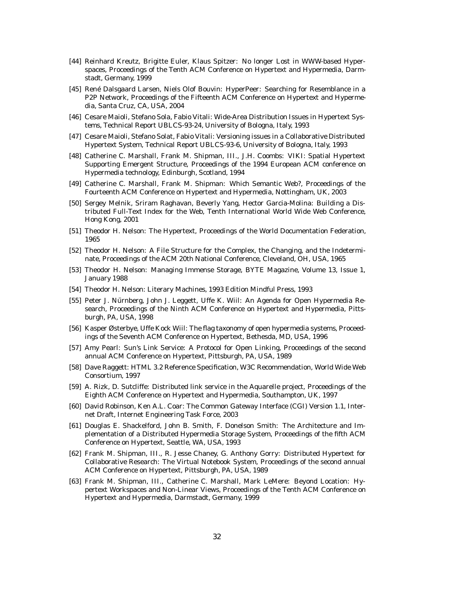- [44] Reinhard Kreutz, Brigitte Euler, Klaus Spitzer: No longer Lost in WWW-based Hyperspaces, Proceedings of the Tenth ACM Conference on Hypertext and Hypermedia, Darmstadt, Germany, 1999
- [45] René Dalsgaard Larsen, Niels Olof Bouvin: HyperPeer: Searching for Resemblance in a P2P Network, Proceedings of the Fifteenth ACM Conference on Hypertext and Hypermedia, Santa Cruz, CA, USA, 2004
- [46] Cesare Maioli, Stefano Sola, Fabio Vitali: Wide-Area Distribution Issues in Hypertext Systems, Technical Report UBLCS-93-24, University of Bologna, Italy, 1993
- [47] Cesare Maioli, Stefano Solat, Fabio Vitali: Versioning issues in a Collaborative Distributed Hypertext System, Technical Report UBLCS-93-6, University of Bologna, Italy, 1993
- [48] Catherine C. Marshall, Frank M. Shipman, III., J.H. Coombs: VIKI: Spatial Hypertext Supporting Emergent Structure, Proceedings of the 1994 European ACM conference on Hypermedia technology, Edinburgh, Scotland, 1994
- [49] Catherine C. Marshall, Frank M. Shipman: Which Semantic Web?, Proceedings of the Fourteenth ACM Conference on Hypertext and Hypermedia, Nottingham, UK, 2003
- [50] Sergey Melnik, Sriram Raghavan, Beverly Yang, Hector Garcia-Molina: Building a Distributed Full-Text Index for the Web, Tenth International World Wide Web Conference, Hong Kong, 2001
- [51] Theodor H. Nelson: The Hypertext, Proceedings of the World Documentation Federation, 1965
- [52] Theodor H. Nelson: A File Structure for the Complex, the Changing, and the Indeterminate, Proceedings of the ACM 20th National Conference, Cleveland, OH, USA, 1965
- [53] Theodor H. Nelson: Managing Immense Storage, BYTE Magazine, Volume 13, Issue 1, January 1988
- [54] Theodor H. Nelson: Literary Machines, 1993 Edition Mindful Press, 1993
- [55] Peter J. Nurnberg, John J. Leggett, Uffe K. Wiil: An Agenda for Open Hypermedia Re- ¨ search, Proceedings of the Ninth ACM Conference on Hypertext and Hypermedia, Pittsburgh, PA, USA, 1998
- [56] Kasper Østerbye, Uffe Kock Wiil: The flag taxonomy of open hypermedia systems, Proceedings of the Seventh ACM Conference on Hypertext, Bethesda, MD, USA, 1996
- [57] Amy Pearl: Sun's Link Service: A Protocol for Open Linking, Proceedings of the second annual ACM Conference on Hypertext, Pittsburgh, PA, USA, 1989
- [58] Dave Raggett: HTML 3.2 Reference Specification, W3C Recommendation, World Wide Web Consortium, 1997
- [59] A. Rizk, D. Sutcliffe: Distributed link service in the Aquarelle project, Proceedings of the Eighth ACM Conference on Hypertext and Hypermedia, Southampton, UK, 1997
- [60] David Robinson, Ken A.L. Coar: The Common Gateway Interface (CGI) Version 1.1, Internet Draft, Internet Engineering Task Force, 2003
- [61] Douglas E. Shackelford, John B. Smith, F. Donelson Smith: The Architecture and Implementation of a Distributed Hypermedia Storage System, Proceedings of the fifth ACM Conference on Hypertext, Seattle, WA, USA, 1993
- [62] Frank M. Shipman, III., R. Jesse Chaney, G. Anthony Gorry: Distributed Hypertext for Collaborative Research: The Virtual Notebook System, Proceedings of the second annual ACM Conference on Hypertext, Pittsburgh, PA, USA, 1989
- [63] Frank M. Shipman, III., Catherine C. Marshall, Mark LeMere: Beyond Location: Hypertext Workspaces and Non-Linear Views, Proceedings of the Tenth ACM Conference on Hypertext and Hypermedia, Darmstadt, Germany, 1999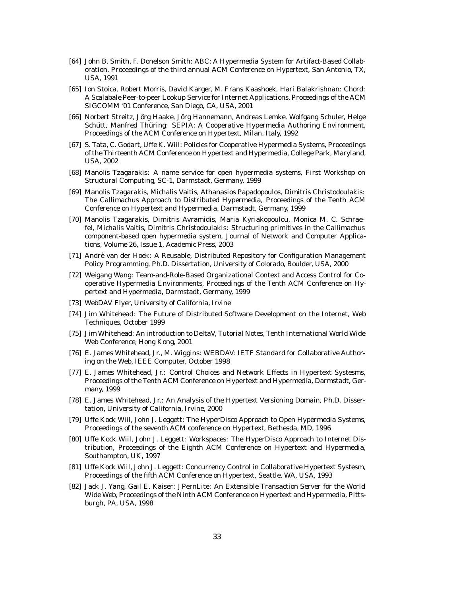- [64] John B. Smith, F. Donelson Smith: ABC: A Hypermedia System for Artifact-Based Collaboration, Proceedings of the third annual ACM Conference on Hypertext, San Antonio, TX, USA, 1991
- [65] Ion Stoica, Robert Morris, David Karger, M. Frans Kaashoek, Hari Balakrishnan: Chord: A Scalabale Peer-to-peer Lookup Service for Internet Applications, Proceedings of the ACM SIGCOMM '01 Conference, San Diego, CA, USA, 2001
- [66] Norbert Streitz, Jörg Haake, Jörg Hannemann, Andreas Lemke, Wolfgang Schuler, Helge Schütt, Manfred Thüring: SEPIA: A Cooperative Hypermedia Authoring Environment, Proceedings of the ACM Conference on Hypertext, Milan, Italy, 1992
- [67] S. Tata, C. Godart, Uffe K. Wiil: Policies for Cooperative Hypermedia Systems, Proceedings of the Thirteenth ACM Conference on Hypertext and Hypermedia, College Park, Maryland, USA, 2002
- [68] Manolis Tzagarakis: A name service for open hypermedia systems, First Workshop on Structural Computing, SC-1, Darmstadt, Germany, 1999
- [69] Manolis Tzagarakis, Michalis Vaitis, Athanasios Papadopoulos, Dimitris Christodoulakis: The Callimachus Approach to Distributed Hypermedia, Proceedings of the Tenth ACM Conference on Hypertext and Hypermedia, Darmstadt, Germany, 1999
- [70] Manolis Tzagarakis, Dimitris Avramidis, Maria Kyriakopoulou, Monica M. C. Schraefel, Michalis Vaitis, Dimitris Christodoulakis: Structuring primitives in the Callimachus component-based open hypermedia system, Journal of Network and Computer Applications, Volume 26, Issue 1, Academic Press, 2003
- [71] Andre van der Hoek: A Reusable, Distributed Repository for Configuration Management ` Policy Programming, Ph.D. Dissertation, University of Colorado, Boulder, USA, 2000
- [72] Weigang Wang: Team-and-Role-Based Organizational Context and Access Control for Cooperative Hypermedia Environments, Proceedings of the Tenth ACM Conference on Hypertext and Hypermedia, Darmstadt, Germany, 1999
- [73] WebDAV Flyer, University of California, Irvine
- [74] Jim Whitehead: The Future of Distributed Software Development on the Internet, Web Techniques, October 1999
- [75] Jim Whitehead: An introduction to DeltaV, Tutorial Notes, Tenth International World Wide Web Conference, Hong Kong, 2001
- [76] E. James Whitehead, Jr., M. Wiggins: WEBDAV: IETF Standard for Collaborative Authoring on the Web, IEEE Computer, October 1998
- [77] E. James Whitehead, Jr.: Control Choices and Network Effects in Hypertext Systesms, Proceedings of the Tenth ACM Conference on Hypertext and Hypermedia, Darmstadt, Germany, 1999
- [78] E. James Whitehead, Jr.: An Analysis of the Hypertext Versioning Domain, Ph.D. Dissertation, University of California, Irvine, 2000
- [79] Uffe Kock Wiil, John J. Leggett: The HyperDisco Approach to Open Hypermedia Systems, Proceedings of the seventh ACM conference on Hypertext, Bethesda, MD, 1996
- [80] Uffe Kock Wiil, John J. Leggett: Workspaces: The HyperDisco Approach to Internet Distribution, Proceedings of the Eighth ACM Conference on Hypertext and Hypermedia, Southampton, UK, 1997
- [81] Uffe Kock Wiil, John J. Leggett: Concurrency Control in Collaborative Hypertext Systesm, Proceedings of the fifth ACM Conference on Hypertext, Seattle, WA, USA, 1993
- [82] Jack J. Yang, Gail E. Kaiser: JPernLite: An Extensible Transaction Server for the World Wide Web, Proceedings of the Ninth ACM Conference on Hypertext and Hypermedia, Pittsburgh, PA, USA, 1998